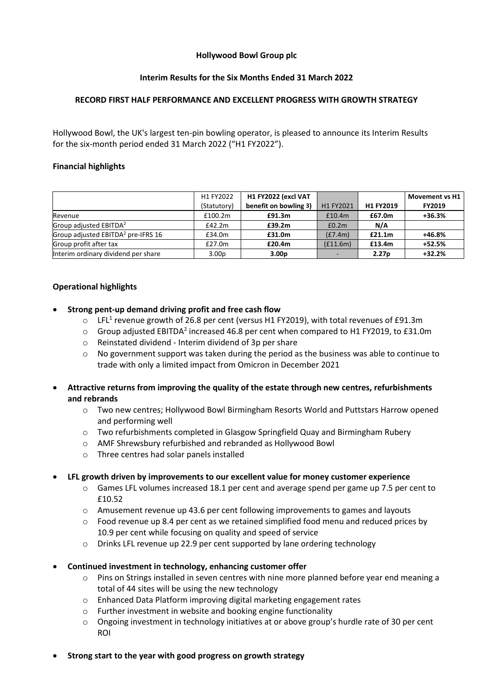# **Hollywood Bowl Group plc**

# **Interim Results for the Six Months Ended 31 March 2022**

# **RECORD FIRST HALF PERFORMANCE AND EXCELLENT PROGRESS WITH GROWTH STRATEGY**

Hollywood Bowl, the UK's largest ten-pin bowling operator, is pleased to announce its Interim Results for the six-month period ended 31 March 2022 ("H1 FY2022").

# **Financial highlights**

|                                                | H1 FY2022         | H1 FY2022 (excl VAT   |           |                   | <b>Movement vs H1</b> |
|------------------------------------------------|-------------------|-----------------------|-----------|-------------------|-----------------------|
|                                                | (Statutory)       | benefit on bowling 3) | H1 FY2021 | H1 FY2019         | <b>FY2019</b>         |
| Revenue                                        | £100.2m           | £91.3m                | £10.4m    | £67.0m            | $+36.3%$              |
| Group adjusted EBITDA <sup>2</sup>             | £42.2m            | £39.2m                | £0.2m     | N/A               |                       |
| Group adjusted EBITDA <sup>2</sup> pre-IFRS 16 | £34.0m            | £31.0m                | (E7.4m)   | £21.1m            | +46.8%                |
| Group profit after tax                         | £27.0m            | £20.4m                | (E11.6m)  | £13.4m            | +52.5%                |
| Interim ordinary dividend per share            | 3.00 <sub>p</sub> | 3.00 <sub>p</sub>     |           | 2.27 <sub>p</sub> | $+32.2%$              |

# **Operational highlights**

- **Strong pent-up demand driving profit and free cash flow** 
	- $\circ$  LFL<sup>1</sup> revenue growth of 26.8 per cent (versus H1 FY2019), with total revenues of £91.3m
	- $\circ$  Group adjusted EBITDA<sup>2</sup> increased 46.8 per cent when compared to H1 FY2019, to £31.0m
	- o Reinstated dividend Interim dividend of 3p per share
	- o No government support was taken during the period as the business was able to continue to trade with only a limited impact from Omicron in December 2021
- **Attractive returns from improving the quality of the estate through new centres, refurbishments and rebrands** 
	- o Two new centres; Hollywood Bowl Birmingham Resorts World and Puttstars Harrow opened and performing well
	- $\circ$  Two refurbishments completed in Glasgow Springfield Quay and Birmingham Rubery
	- o AMF Shrewsbury refurbished and rebranded as Hollywood Bowl
	- o Three centres had solar panels installed

# • **LFL growth driven by improvements to our excellent value for money customer experience**

- $\circ$  Games LFL volumes increased 18.1 per cent and average spend per game up 7.5 per cent to £10.52
- $\circ$  Amusement revenue up 43.6 per cent following improvements to games and layouts
- $\circ$  Food revenue up 8.4 per cent as we retained simplified food menu and reduced prices by 10.9 per cent while focusing on quality and speed of service
- $\circ$  Drinks LFL revenue up 22.9 per cent supported by lane ordering technology
- **Continued investment in technology, enhancing customer offer**
	- $\circ$  Pins on Strings installed in seven centres with nine more planned before year end meaning a total of 44 sites will be using the new technology
	- o Enhanced Data Platform improving digital marketing engagement rates
	- o Further investment in website and booking engine functionality
	- $\circ$  Ongoing investment in technology initiatives at or above group's hurdle rate of 30 per cent ROI
- **Strong start to the year with good progress on growth strategy**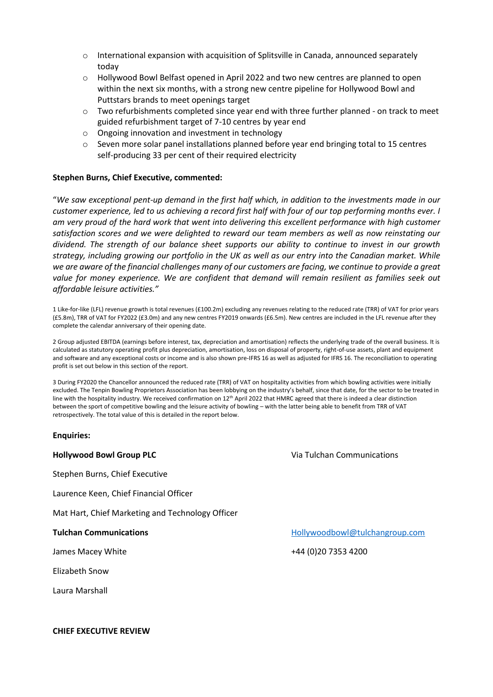- o International expansion with acquisition of Splitsville in Canada, announced separately today
- o Hollywood Bowl Belfast opened in April 2022 and two new centres are planned to open within the next six months, with a strong new centre pipeline for Hollywood Bowl and Puttstars brands to meet openings target
- $\circ$  Two refurbishments completed since year end with three further planned on track to meet guided refurbishment target of 7-10 centres by year end
- o Ongoing innovation and investment in technology
- $\circ$  Seven more solar panel installations planned before year end bringing total to 15 centres self-producing 33 per cent of their required electricity

# **Stephen Burns, Chief Executive, commented:**

"*We saw exceptional pent-up demand in the first half which, in addition to the investments made in our customer experience, led to us achieving a record first half with four of our top performing months ever. I am very proud of the hard work that went into delivering this excellent performance with high customer satisfaction scores and we were delighted to reward our team members as well as now reinstating our dividend. The strength of our balance sheet supports our ability to continue to invest in our growth strategy, including growing our portfolio in the UK as well as our entry into the Canadian market. While we are aware of the financial challenges many of our customers are facing, we continue to provide a great*  value for money experience. We are confident that demand will remain resilient as families seek out *affordable leisure activities."*

1 Like-for-like (LFL) revenue growth is total revenues (£100.2m) excluding any revenues relating to the reduced rate (TRR) of VAT for prior years (£5.8m), TRR of VAT for FY2022 (£3.0m) and any new centres FY2019 onwards (£6.5m). New centres are included in the LFL revenue after they complete the calendar anniversary of their opening date.

2 Group adjusted EBITDA (earnings before interest, tax, depreciation and amortisation) reflects the underlying trade of the overall business. It is calculated as statutory operating profit plus depreciation, amortisation, loss on disposal of property, right-of-use assets, plant and equipment and software and any exceptional costs or income and is also shown pre-IFRS 16 as well as adjusted for IFRS 16. The reconciliation to operating profit is set out below in this section of the report.

3 During FY2020 the Chancellor announced the reduced rate (TRR) of VAT on hospitality activities from which bowling activities were initially excluded. The Tenpin Bowling Proprietors Association has been lobbying on the industry's behalf, since that date, for the sector to be treated in line with the hospitality industry. We received confirmation on  $12<sup>th</sup>$  April 2022 that HMRC agreed that there is indeed a clear distinction between the sport of competitive bowling and the leisure activity of bowling – with the latter being able to benefit from TRR of VAT retrospectively. The total value of this is detailed in the report below.

### **Enquiries:**

Stephen Burns, Chief Executive

Laurence Keen, Chief Financial Officer

Mat Hart, Chief Marketing and Technology Officer

Elizabeth Snow

Laura Marshall

**Hollywood Bowl Group PLC** Via Tulchan Communications

**Tulchan Communications** Tulchangroup.com **[Hollywoodbowl@tulchangroup.com](mailto:Hollywoodbowl@tulchangroup.com)** 

James Macey White +44 (0)20 7353 4200

**CHIEF EXECUTIVE REVIEW**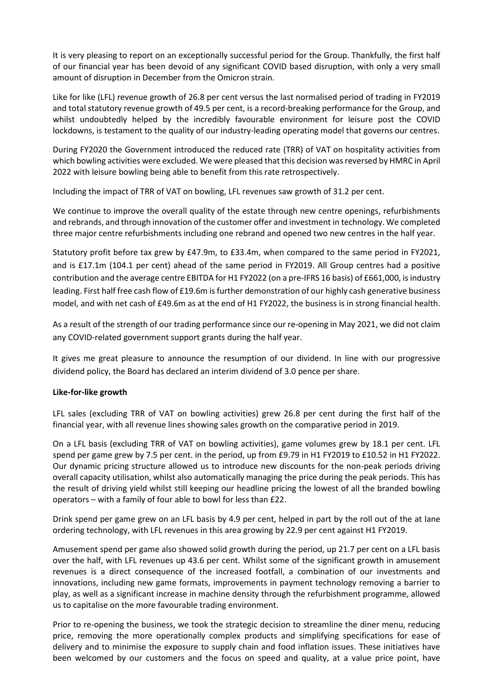It is very pleasing to report on an exceptionally successful period for the Group. Thankfully, the first half of our financial year has been devoid of any significant COVID based disruption, with only a very small amount of disruption in December from the Omicron strain.

Like for like (LFL) revenue growth of 26.8 per cent versus the last normalised period of trading in FY2019 and total statutory revenue growth of 49.5 per cent, is a record-breaking performance for the Group, and whilst undoubtedly helped by the incredibly favourable environment for leisure post the COVID lockdowns, is testament to the quality of our industry-leading operating model that governs our centres.

During FY2020 the Government introduced the reduced rate (TRR) of VAT on hospitality activities from which bowling activities were excluded. We were pleased that this decision was reversed by HMRC in April 2022 with leisure bowling being able to benefit from this rate retrospectively.

Including the impact of TRR of VAT on bowling, LFL revenues saw growth of 31.2 per cent.

We continue to improve the overall quality of the estate through new centre openings, refurbishments and rebrands, and through innovation of the customer offer and investment in technology. We completed three major centre refurbishments including one rebrand and opened two new centres in the half year.

Statutory profit before tax grew by £47.9m, to £33.4m, when compared to the same period in FY2021, and is £17.1m (104.1 per cent) ahead of the same period in FY2019. All Group centres had a positive contribution and the average centre EBITDA for H1 FY2022 (on a pre-IFRS 16 basis) of £661,000, is industry leading. First half free cash flow of £19.6m is further demonstration of our highly cash generative business model, and with net cash of £49.6m as at the end of H1 FY2022, the business is in strong financial health.

As a result of the strength of our trading performance since our re-opening in May 2021, we did not claim any COVID-related government support grants during the half year.

It gives me great pleasure to announce the resumption of our dividend. In line with our progressive dividend policy, the Board has declared an interim dividend of 3.0 pence per share.

# **Like-for-like growth**

LFL sales (excluding TRR of VAT on bowling activities) grew 26.8 per cent during the first half of the financial year, with all revenue lines showing sales growth on the comparative period in 2019.

On a LFL basis (excluding TRR of VAT on bowling activities), game volumes grew by 18.1 per cent. LFL spend per game grew by 7.5 per cent. in the period, up from £9.79 in H1 FY2019 to £10.52 in H1 FY2022. Our dynamic pricing structure allowed us to introduce new discounts for the non-peak periods driving overall capacity utilisation, whilst also automatically managing the price during the peak periods. This has the result of driving yield whilst still keeping our headline pricing the lowest of all the branded bowling operators – with a family of four able to bowl for less than £22.

Drink spend per game grew on an LFL basis by 4.9 per cent, helped in part by the roll out of the at lane ordering technology, with LFL revenues in this area growing by 22.9 per cent against H1 FY2019.

Amusement spend per game also showed solid growth during the period, up 21.7 per cent on a LFL basis over the half, with LFL revenues up 43.6 per cent. Whilst some of the significant growth in amusement revenues is a direct consequence of the increased footfall, a combination of our investments and innovations, including new game formats, improvements in payment technology removing a barrier to play, as well as a significant increase in machine density through the refurbishment programme, allowed us to capitalise on the more favourable trading environment.

Prior to re-opening the business, we took the strategic decision to streamline the diner menu, reducing price, removing the more operationally complex products and simplifying specifications for ease of delivery and to minimise the exposure to supply chain and food inflation issues. These initiatives have been welcomed by our customers and the focus on speed and quality, at a value price point, have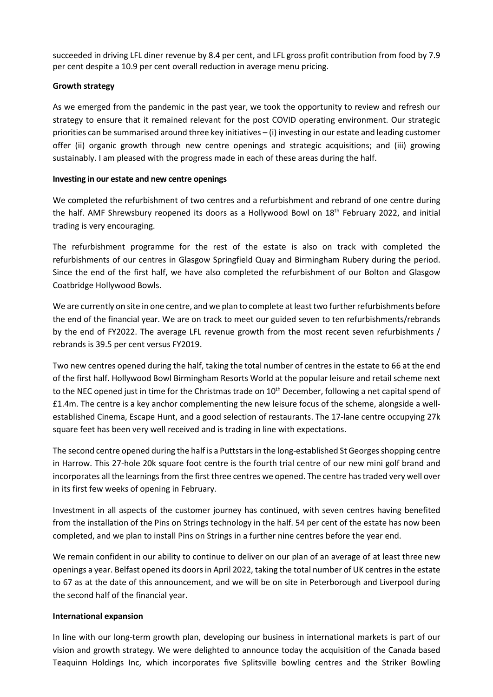succeeded in driving LFL diner revenue by 8.4 per cent, and LFL gross profit contribution from food by 7.9 per cent despite a 10.9 per cent overall reduction in average menu pricing.

# **Growth strategy**

As we emerged from the pandemic in the past year, we took the opportunity to review and refresh our strategy to ensure that it remained relevant for the post COVID operating environment. Our strategic priorities can be summarised around three key initiatives – (i) investing in our estate and leading customer offer (ii) organic growth through new centre openings and strategic acquisitions; and (iii) growing sustainably. I am pleased with the progress made in each of these areas during the half.

# **Investing in our estate and new centre openings**

We completed the refurbishment of two centres and a refurbishment and rebrand of one centre during the half. AMF Shrewsbury reopened its doors as a Hollywood Bowl on 18<sup>th</sup> February 2022, and initial trading is very encouraging.

The refurbishment programme for the rest of the estate is also on track with completed the refurbishments of our centres in Glasgow Springfield Quay and Birmingham Rubery during the period. Since the end of the first half, we have also completed the refurbishment of our Bolton and Glasgow Coatbridge Hollywood Bowls.

We are currently on site in one centre, and we plan to complete at least two further refurbishments before the end of the financial year. We are on track to meet our guided seven to ten refurbishments/rebrands by the end of FY2022. The average LFL revenue growth from the most recent seven refurbishments / rebrands is 39.5 per cent versus FY2019.

Two new centres opened during the half, taking the total number of centres in the estate to 66 at the end of the first half. Hollywood Bowl Birmingham Resorts World at the popular leisure and retail scheme next to the NEC opened just in time for the Christmas trade on  $10<sup>th</sup>$  December, following a net capital spend of £1.4m. The centre is a key anchor complementing the new leisure focus of the scheme, alongside a wellestablished Cinema, Escape Hunt, and a good selection of restaurants. The 17-lane centre occupying 27k square feet has been very well received and is trading in line with expectations.

The second centre opened during the half is a Puttstars in the long-established St Georgesshopping centre in Harrow. This 27-hole 20k square foot centre is the fourth trial centre of our new mini golf brand and incorporates all the learnings from the first three centres we opened. The centre has traded very well over in its first few weeks of opening in February.

Investment in all aspects of the customer journey has continued, with seven centres having benefited from the installation of the Pins on Strings technology in the half. 54 per cent of the estate has now been completed, and we plan to install Pins on Strings in a further nine centres before the year end.

We remain confident in our ability to continue to deliver on our plan of an average of at least three new openings a year. Belfast opened its doors in April 2022, taking the total number of UK centres in the estate to 67 as at the date of this announcement, and we will be on site in Peterborough and Liverpool during the second half of the financial year.

# **International expansion**

In line with our long-term growth plan, developing our business in international markets is part of our vision and growth strategy. We were delighted to announce today the acquisition of the Canada based Teaquinn Holdings Inc, which incorporates five Splitsville bowling centres and the Striker Bowling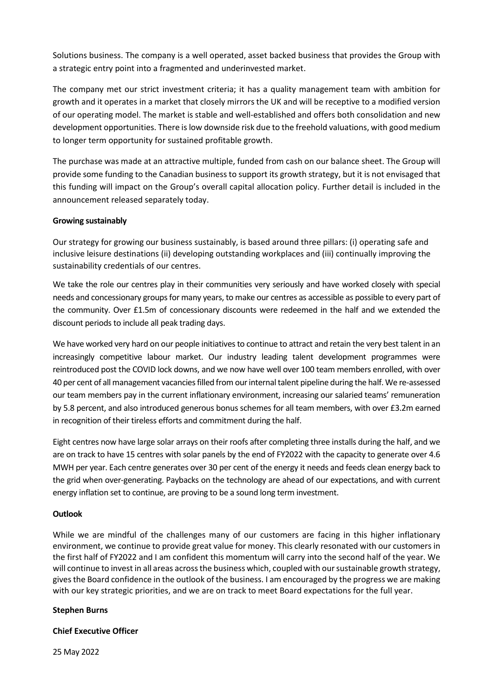Solutions business. The company is a well operated, asset backed business that provides the Group with a strategic entry point into a fragmented and underinvested market.

The company met our strict investment criteria; it has a quality management team with ambition for growth and it operates in a market that closely mirrors the UK and will be receptive to a modified version of our operating model. The market is stable and well-established and offers both consolidation and new development opportunities. There is low downside risk due to the freehold valuations, with good medium to longer term opportunity for sustained profitable growth.

The purchase was made at an attractive multiple, funded from cash on our balance sheet. The Group will provide some funding to the Canadian business to support its growth strategy, but it is not envisaged that this funding will impact on the Group's overall capital allocation policy. Further detail is included in the announcement released separately today.

# **Growing sustainably**

Our strategy for growing our business sustainably, is based around three pillars: (i) operating safe and inclusive leisure destinations (ii) developing outstanding workplaces and (iii) continually improving the sustainability credentials of our centres.

We take the role our centres play in their communities very seriously and have worked closely with special needs and concessionary groups for many years, to make our centres as accessible as possible to every part of the community. Over £1.5m of concessionary discounts were redeemed in the half and we extended the discount periods to include all peak trading days.

We have worked very hard on our people initiatives to continue to attract and retain the very best talent in an increasingly competitive labour market. Our industry leading talent development programmes were reintroduced post the COVID lock downs, and we now have well over 100 team members enrolled, with over 40 per cent of all management vacancies filled from our internal talent pipeline during the half. We re-assessed our team members pay in the current inflationary environment, increasing our salaried teams' remuneration by 5.8 percent, and also introduced generous bonus schemes for all team members, with over £3.2m earned in recognition of their tireless efforts and commitment during the half.

Eight centres now have large solar arrays on their roofs after completing three installs during the half, and we are on track to have 15 centres with solar panels by the end of FY2022 with the capacity to generate over 4.6 MWH per year. Each centre generates over 30 per cent of the energy it needs and feeds clean energy back to the grid when over-generating. Paybacks on the technology are ahead of our expectations, and with current energy inflation set to continue, are proving to be a sound long term investment.

# **Outlook**

While we are mindful of the challenges many of our customers are facing in this higher inflationary environment, we continue to provide great value for money. This clearly resonated with our customers in the first half of FY2022 and I am confident this momentum will carry into the second half of the year. We will continue to invest in all areas across the business which, coupled with our sustainable growth strategy, gives the Board confidence in the outlook of the business. I am encouraged by the progress we are making with our key strategic priorities, and we are on track to meet Board expectations for the full year.

# **Stephen Burns**

# **Chief Executive Officer**

25 May 2022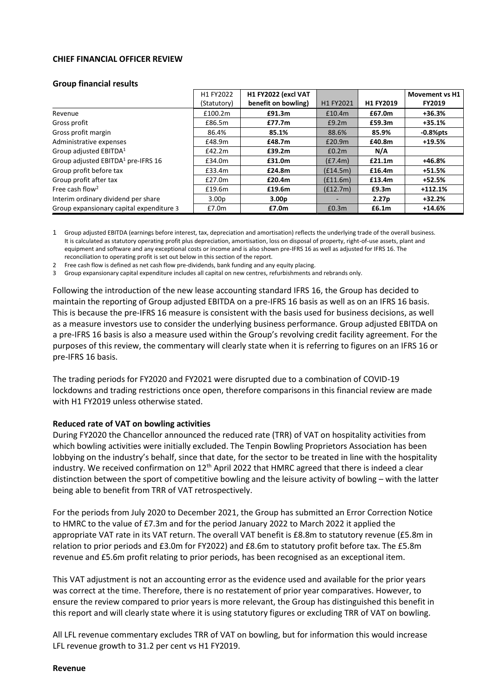# **CHIEF FINANCIAL OFFICER REVIEW**

### **Group financial results**

|                                                | H1 FY2022         | H1 FY2022 (excl VAT |           |                   | <b>Movement vs H1</b> |
|------------------------------------------------|-------------------|---------------------|-----------|-------------------|-----------------------|
|                                                | (Statutory)       | benefit on bowling) | H1 FY2021 | H1 FY2019         | <b>FY2019</b>         |
| Revenue                                        | £100.2m           | £91.3m              | £10.4m    | £67.0m            | $+36.3%$              |
| Gross profit                                   | £86.5m            | £77.7m              | £9.2m     | £59.3m            | $+35.1%$              |
| Gross profit margin                            | 86.4%             | 85.1%               | 88.6%     | 85.9%             | $-0.8%$ pts           |
| Administrative expenses                        | £48.9m            | £48.7m              | £20.9m    | £40.8m            | $+19.5%$              |
| Group adjusted EBITDA <sup>1</sup>             | £42.2m            | £39.2m              | £0.2m     | N/A               |                       |
| Group adjusted EBITDA <sup>1</sup> pre-IFRS 16 | £34.0m            | £31.0m              | (E7.4m)   | £21.1m            | +46.8%                |
| Group profit before tax                        | £33.4m            | £24.8m              | (E14.5m)  | £16.4m            | +51.5%                |
| Group profit after tax                         | £27.0m            | £20.4m              | (E11.6m)  | £13.4m            | +52.5%                |
| Free cash flow <sup>2</sup>                    | £19.6m            | £19.6m              | (f12.7m)  | £9.3m             | $+112.1%$             |
| Interim ordinary dividend per share            | 3.00 <sub>p</sub> | 3.00 <sub>p</sub>   |           | 2.27 <sub>p</sub> | $+32.2%$              |
| Group expansionary capital expenditure 3       | £7.0m             | £7.0m               | £0.3m     | £6.1m             | $+14.6%$              |

1 Group adjusted EBITDA (earnings before interest, tax, depreciation and amortisation) reflects the underlying trade of the overall business. It is calculated as statutory operating profit plus depreciation, amortisation, loss on disposal of property, right-of-use assets, plant and equipment and software and any exceptional costs or income and is also shown pre-IFRS 16 as well as adjusted for IFRS 16. The reconciliation to operating profit is set out below in this section of the report.

2 Free cash flow is defined as net cash flow pre-dividends, bank funding and any equity placing.

3 Group expansionary capital expenditure includes all capital on new centres, refurbishments and rebrands only.

Following the introduction of the new lease accounting standard IFRS 16, the Group has decided to maintain the reporting of Group adjusted EBITDA on a pre-IFRS 16 basis as well as on an IFRS 16 basis. This is because the pre-IFRS 16 measure is consistent with the basis used for business decisions, as well as a measure investors use to consider the underlying business performance. Group adjusted EBITDA on a pre-IFRS 16 basis is also a measure used within the Group's revolving credit facility agreement. For the purposes of this review, the commentary will clearly state when it is referring to figures on an IFRS 16 or pre-IFRS 16 basis.

The trading periods for FY2020 and FY2021 were disrupted due to a combination of COVID-19 lockdowns and trading restrictions once open, therefore comparisons in this financial review are made with H1 FY2019 unless otherwise stated.

### **Reduced rate of VAT on bowling activities**

During FY2020 the Chancellor announced the reduced rate (TRR) of VAT on hospitality activities from which bowling activities were initially excluded. The Tenpin Bowling Proprietors Association has been lobbying on the industry's behalf, since that date, for the sector to be treated in line with the hospitality industry. We received confirmation on  $12<sup>th</sup>$  April 2022 that HMRC agreed that there is indeed a clear distinction between the sport of competitive bowling and the leisure activity of bowling – with the latter being able to benefit from TRR of VAT retrospectively.

For the periods from July 2020 to December 2021, the Group has submitted an Error Correction Notice to HMRC to the value of £7.3m and for the period January 2022 to March 2022 it applied the appropriate VAT rate in its VAT return. The overall VAT benefit is £8.8m to statutory revenue (£5.8m in relation to prior periods and £3.0m for FY2022) and £8.6m to statutory profit before tax. The £5.8m revenue and £5.6m profit relating to prior periods, has been recognised as an exceptional item.

This VAT adjustment is not an accounting error as the evidence used and available for the prior years was correct at the time. Therefore, there is no restatement of prior year comparatives. However, to ensure the review compared to prior years is more relevant, the Group has distinguished this benefit in this report and will clearly state where it is using statutory figures or excluding TRR of VAT on bowling.

All LFL revenue commentary excludes TRR of VAT on bowling, but for information this would increase LFL revenue growth to 31.2 per cent vs H1 FY2019.

### **Revenue**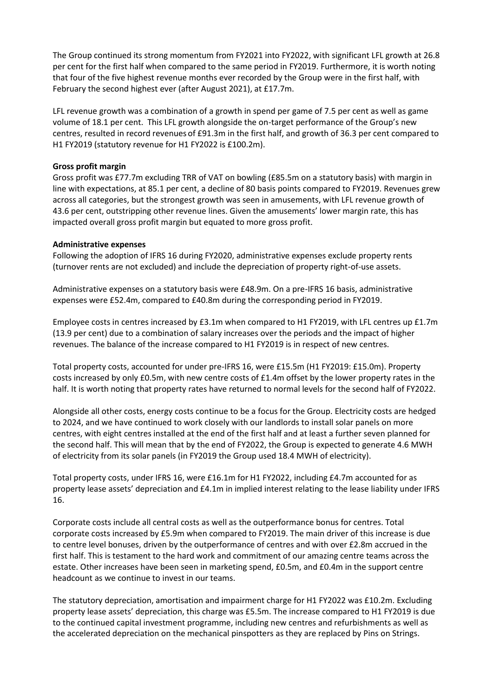The Group continued its strong momentum from FY2021 into FY2022, with significant LFL growth at 26.8 per cent for the first half when compared to the same period in FY2019. Furthermore, it is worth noting that four of the five highest revenue months ever recorded by the Group were in the first half, with February the second highest ever (after August 2021), at £17.7m.

LFL revenue growth was a combination of a growth in spend per game of 7.5 per cent as well as game volume of 18.1 per cent. This LFL growth alongside the on-target performance of the Group's new centres, resulted in record revenues of £91.3m in the first half, and growth of 36.3 per cent compared to H1 FY2019 (statutory revenue for H1 FY2022 is £100.2m).

# **Gross profit margin**

Gross profit was £77.7m excluding TRR of VAT on bowling (£85.5m on a statutory basis) with margin in line with expectations, at 85.1 per cent, a decline of 80 basis points compared to FY2019. Revenues grew across all categories, but the strongest growth was seen in amusements, with LFL revenue growth of 43.6 per cent, outstripping other revenue lines. Given the amusements' lower margin rate, this has impacted overall gross profit margin but equated to more gross profit.

# **Administrative expenses**

Following the adoption of IFRS 16 during FY2020, administrative expenses exclude property rents (turnover rents are not excluded) and include the depreciation of property right-of-use assets.

Administrative expenses on a statutory basis were £48.9m. On a pre-IFRS 16 basis, administrative expenses were £52.4m, compared to £40.8m during the corresponding period in FY2019.

Employee costs in centres increased by £3.1m when compared to H1 FY2019, with LFL centres up £1.7m (13.9 per cent) due to a combination of salary increases over the periods and the impact of higher revenues. The balance of the increase compared to H1 FY2019 is in respect of new centres.

Total property costs, accounted for under pre-IFRS 16, were £15.5m (H1 FY2019: £15.0m). Property costs increased by only £0.5m, with new centre costs of £1.4m offset by the lower property rates in the half. It is worth noting that property rates have returned to normal levels for the second half of FY2022.

Alongside all other costs, energy costs continue to be a focus for the Group. Electricity costs are hedged to 2024, and we have continued to work closely with our landlords to install solar panels on more centres, with eight centres installed at the end of the first half and at least a further seven planned for the second half. This will mean that by the end of FY2022, the Group is expected to generate 4.6 MWH of electricity from its solar panels (in FY2019 the Group used 18.4 MWH of electricity).

Total property costs, under IFRS 16, were £16.1m for H1 FY2022, including £4.7m accounted for as property lease assets' depreciation and £4.1m in implied interest relating to the lease liability under IFRS 16.

Corporate costs include all central costs as well as the outperformance bonus for centres. Total corporate costs increased by £5.9m when compared to FY2019. The main driver of this increase is due to centre level bonuses, driven by the outperformance of centres and with over £2.8m accrued in the first half. This is testament to the hard work and commitment of our amazing centre teams across the estate. Other increases have been seen in marketing spend, £0.5m, and £0.4m in the support centre headcount as we continue to invest in our teams.

The statutory depreciation, amortisation and impairment charge for H1 FY2022 was £10.2m. Excluding property lease assets' depreciation, this charge was £5.5m. The increase compared to H1 FY2019 is due to the continued capital investment programme, including new centres and refurbishments as well as the accelerated depreciation on the mechanical pinspotters as they are replaced by Pins on Strings.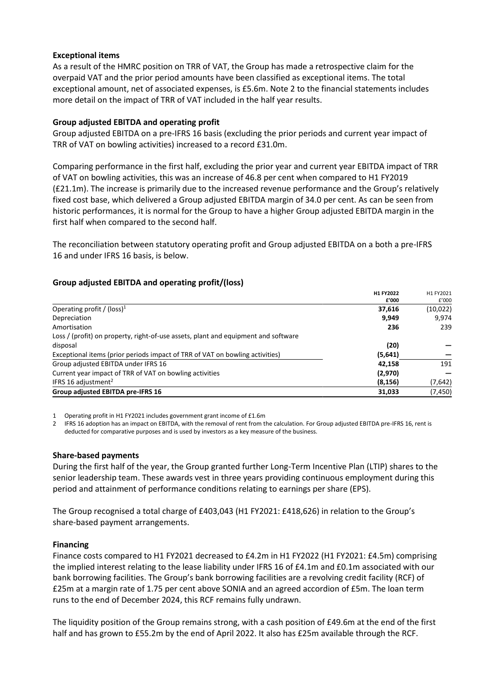# **Exceptional items**

As a result of the HMRC position on TRR of VAT, the Group has made a retrospective claim for the overpaid VAT and the prior period amounts have been classified as exceptional items. The total exceptional amount, net of associated expenses, is £5.6m. Note 2 to the financial statements includes more detail on the impact of TRR of VAT included in the half year results.

# **Group adjusted EBITDA and operating profit**

Group adjusted EBITDA on a pre-IFRS 16 basis (excluding the prior periods and current year impact of TRR of VAT on bowling activities) increased to a record £31.0m.

Comparing performance in the first half, excluding the prior year and current year EBITDA impact of TRR of VAT on bowling activities, this was an increase of 46.8 per cent when compared to H1 FY2019 (£21.1m). The increase is primarily due to the increased revenue performance and the Group's relatively fixed cost base, which delivered a Group adjusted EBITDA margin of 34.0 per cent. As can be seen from historic performances, it is normal for the Group to have a higher Group adjusted EBITDA margin in the first half when compared to the second half.

The reconciliation between statutory operating profit and Group adjusted EBITDA on a both a pre-IFRS 16 and under IFRS 16 basis, is below.

# **Group adjusted EBITDA and operating profit/(loss)**

|                                                                                    | H1 FY2022<br>£'000 | H1 FY2021<br>£'000 |
|------------------------------------------------------------------------------------|--------------------|--------------------|
| Operating profit / (loss) <sup>1</sup>                                             | 37,616             | (10,022)           |
| Depreciation                                                                       | 9,949              | 9.974              |
| Amortisation                                                                       | 236                | 239                |
| Loss / (profit) on property, right-of-use assets, plant and equipment and software |                    |                    |
| disposal                                                                           | (20)               |                    |
| Exceptional items (prior periods impact of TRR of VAT on bowling activities)       | (5,641)            |                    |
| Group adjusted EBITDA under IFRS 16                                                | 42,158             | 191                |
| Current year impact of TRR of VAT on bowling activities                            | (2,970)            |                    |
| IFRS 16 adjustment <sup>2</sup>                                                    | (8, 156)           | (7,642)            |
| Group adjusted EBITDA pre-IFRS 16                                                  | 31,033             | (7,450)            |

1 Operating profit in H1 FY2021 includes government grant income of £1.6m

2 IFRS 16 adoption has an impact on EBITDA, with the removal of rent from the calculation. For Group adjusted EBITDA pre-IFRS 16, rent is deducted for comparative purposes and is used by investors as a key measure of the business.

# **Share-based payments**

During the first half of the year, the Group granted further Long-Term Incentive Plan (LTIP) shares to the senior leadership team. These awards vest in three years providing continuous employment during this period and attainment of performance conditions relating to earnings per share (EPS).

The Group recognised a total charge of £403,043 (H1 FY2021: £418,626) in relation to the Group's share-based payment arrangements.

# **Financing**

Finance costs compared to H1 FY2021 decreased to £4.2m in H1 FY2022 (H1 FY2021: £4.5m) comprising the implied interest relating to the lease liability under IFRS 16 of £4.1m and £0.1m associated with our bank borrowing facilities. The Group's bank borrowing facilities are a revolving credit facility (RCF) of £25m at a margin rate of 1.75 per cent above SONIA and an agreed accordion of £5m. The loan term runs to the end of December 2024, this RCF remains fully undrawn.

The liquidity position of the Group remains strong, with a cash position of £49.6m at the end of the first half and has grown to £55.2m by the end of April 2022. It also has £25m available through the RCF.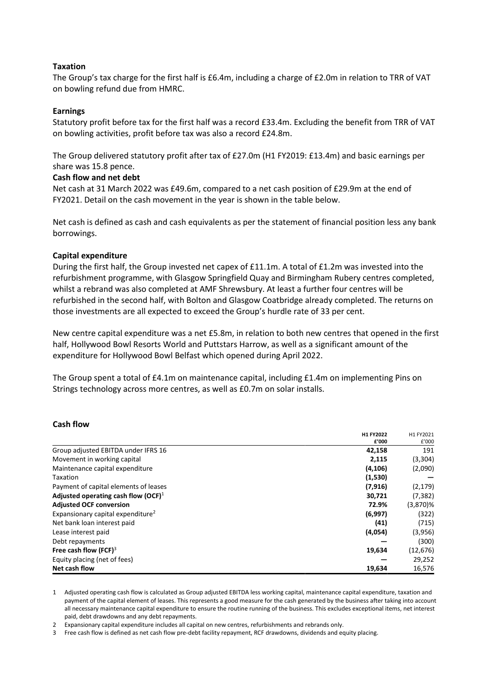# **Taxation**

The Group's tax charge for the first half is £6.4m, including a charge of £2.0m in relation to TRR of VAT on bowling refund due from HMRC.

### **Earnings**

Statutory profit before tax for the first half was a record £33.4m. Excluding the benefit from TRR of VAT on bowling activities, profit before tax was also a record £24.8m.

The Group delivered statutory profit after tax of £27.0m (H1 FY2019: £13.4m) and basic earnings per share was 15.8 pence.

# **Cash flow and net debt**

Net cash at 31 March 2022 was £49.6m, compared to a net cash position of £29.9m at the end of FY2021. Detail on the cash movement in the year is shown in the table below.

Net cash is defined as cash and cash equivalents as per the statement of financial position less any bank borrowings.

# **Capital expenditure**

During the first half, the Group invested net capex of £11.1m. A total of £1.2m was invested into the refurbishment programme, with Glasgow Springfield Quay and Birmingham Rubery centres completed, whilst a rebrand was also completed at AMF Shrewsbury. At least a further four centres will be refurbished in the second half, with Bolton and Glasgow Coatbridge already completed. The returns on those investments are all expected to exceed the Group's hurdle rate of 33 per cent.

New centre capital expenditure was a net £5.8m, in relation to both new centres that opened in the first half, Hollywood Bowl Resorts World and Puttstars Harrow, as well as a significant amount of the expenditure for Hollywood Bowl Belfast which opened during April 2022.

The Group spent a total of £4.1m on maintenance capital, including £1.4m on implementing Pins on Strings technology across more centres, as well as £0.7m on solar installs.

# **Cash flow**

|                                               | H1 FY2022 | H1 FY2021   |
|-----------------------------------------------|-----------|-------------|
|                                               | £'000     | £'000       |
| Group adjusted EBITDA under IFRS 16           | 42,158    | 191         |
| Movement in working capital                   | 2,115     | (3,304)     |
| Maintenance capital expenditure               | (4, 106)  | (2,090)     |
| <b>Taxation</b>                               | (1,530)   |             |
| Payment of capital elements of leases         | (7, 916)  | (2, 179)    |
| Adjusted operating cash flow $(OCF)^1$        | 30,721    | (7, 382)    |
| <b>Adjusted OCF conversion</b>                | 72.9%     | $(3,870)$ % |
| Expansionary capital expenditure <sup>2</sup> | (6,997)   | (322)       |
| Net bank loan interest paid                   | (41)      | (715)       |
| Lease interest paid                           | (4,054)   | (3,956)     |
| Debt repayments                               |           | (300)       |
| Free cash flow (FCF) $3$                      | 19,634    | (12, 676)   |
| Equity placing (net of fees)                  |           | 29,252      |
| Net cash flow                                 | 19,634    | 16,576      |

1 Adjusted operating cash flow is calculated as Group adjusted EBITDA less working capital, maintenance capital expenditure, taxation and payment of the capital element of leases. This represents a good measure for the cash generated by the business after taking into account all necessary maintenance capital expenditure to ensure the routine running of the business. This excludes exceptional items, net interest paid, debt drawdowns and any debt repayments.

2 Expansionary capital expenditure includes all capital on new centres, refurbishments and rebrands only.

3 Free cash flow is defined as net cash flow pre-debt facility repayment, RCF drawdowns, dividends and equity placing.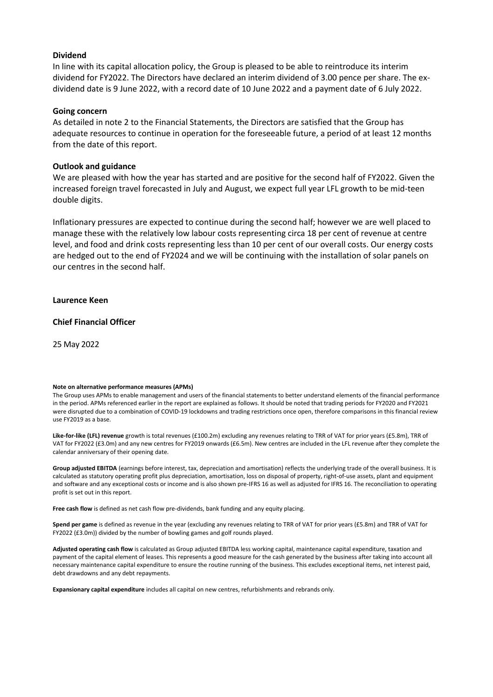### **Dividend**

In line with its capital allocation policy, the Group is pleased to be able to reintroduce its interim dividend for FY2022. The Directors have declared an interim dividend of 3.00 pence per share. The exdividend date is 9 June 2022, with a record date of 10 June 2022 and a payment date of 6 July 2022.

### **Going concern**

As detailed in note 2 to the Financial Statements, the Directors are satisfied that the Group has adequate resources to continue in operation for the foreseeable future, a period of at least 12 months from the date of this report.

# **Outlook and guidance**

We are pleased with how the year has started and are positive for the second half of FY2022. Given the increased foreign travel forecasted in July and August, we expect full year LFL growth to be mid-teen double digits.

Inflationary pressures are expected to continue during the second half; however we are well placed to manage these with the relatively low labour costs representing circa 18 per cent of revenue at centre level, and food and drink costs representing less than 10 per cent of our overall costs. Our energy costs are hedged out to the end of FY2024 and we will be continuing with the installation of solar panels on our centres in the second half.

# **Laurence Keen**

# **Chief Financial Officer**

25 May 2022

### **Note on alternative performance measures (APMs)**

The Group uses APMs to enable management and users of the financial statements to better understand elements of the financial performance in the period. APMs referenced earlier in the report are explained as follows. It should be noted that trading periods for FY2020 and FY2021 were disrupted due to a combination of COVID-19 lockdowns and trading restrictions once open, therefore comparisons in this financial review use FY2019 as a base.

**Like-for-like (LFL) revenue** growth is total revenues (£100.2m) excluding any revenues relating to TRR of VAT for prior years (£5.8m), TRR of VAT for FY2022 (£3.0m) and any new centres for FY2019 onwards (£6.5m). New centres are included in the LFL revenue after they complete the calendar anniversary of their opening date.

**Group adjusted EBITDA** (earnings before interest, tax, depreciation and amortisation) reflects the underlying trade of the overall business. It is calculated as statutory operating profit plus depreciation, amortisation, loss on disposal of property, right-of-use assets, plant and equipment and software and any exceptional costs or income and is also shown pre-IFRS 16 as well as adjusted for IFRS 16. The reconciliation to operating profit is set out in this report.

**Free cash flow** is defined as net cash flow pre-dividends, bank funding and any equity placing.

**Spend per game** is defined as revenue in the year (excluding any revenues relating to TRR of VAT for prior years (£5.8m) and TRR of VAT for FY2022 (£3.0m)) divided by the number of bowling games and golf rounds played.

**Adjusted operating cash flow** is calculated as Group adjusted EBITDA less working capital, maintenance capital expenditure, taxation and payment of the capital element of leases. This represents a good measure for the cash generated by the business after taking into account all necessary maintenance capital expenditure to ensure the routine running of the business. This excludes exceptional items, net interest paid, debt drawdowns and any debt repayments.

**Expansionary capital expenditure** includes all capital on new centres, refurbishments and rebrands only.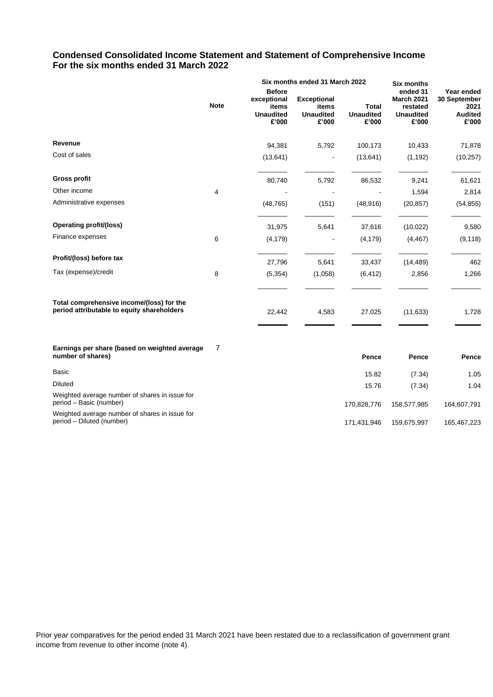# **Condensed Consolidated Income Statement and Statement of Comprehensive Income For the six months ended 31 March 2022**

|                                                                                         |             | Six months ended 31 March 2022                                     |                                                          | <b>Six months</b>                         |                                                                        |                                                               |
|-----------------------------------------------------------------------------------------|-------------|--------------------------------------------------------------------|----------------------------------------------------------|-------------------------------------------|------------------------------------------------------------------------|---------------------------------------------------------------|
|                                                                                         | <b>Note</b> | <b>Before</b><br>exceptional<br>items<br><b>Unaudited</b><br>£'000 | <b>Exceptional</b><br>items<br><b>Unaudited</b><br>£'000 | <b>Total</b><br><b>Unaudited</b><br>£'000 | ended 31<br><b>March 2021</b><br>restated<br><b>Unaudited</b><br>£'000 | Year ended<br>30 September<br>2021<br><b>Audited</b><br>£'000 |
| Revenue                                                                                 |             | 94,381                                                             | 5,792                                                    | 100,173                                   | 10,433                                                                 | 71,878                                                        |
| Cost of sales                                                                           |             | (13, 641)                                                          |                                                          | (13, 641)                                 | (1, 192)                                                               | (10, 257)                                                     |
| <b>Gross profit</b>                                                                     |             | 80,740                                                             | 5,792                                                    | 86,532                                    | 9,241                                                                  | 61,621                                                        |
| Other income                                                                            | 4           |                                                                    |                                                          |                                           | 1,594                                                                  | 2,814                                                         |
| Administrative expenses                                                                 |             | (48, 765)                                                          | (151)                                                    | (48, 916)                                 | (20, 857)                                                              | (54, 855)                                                     |
| Operating profit/(loss)                                                                 |             | 31,975                                                             | 5,641                                                    | 37,616                                    | (10, 022)                                                              | 9,580                                                         |
| Finance expenses                                                                        | 6           | (4, 179)                                                           |                                                          | (4, 179)                                  | (4, 467)                                                               | (9, 118)                                                      |
| Profit/(loss) before tax                                                                |             | 27,796                                                             | 5,641                                                    | 33,437                                    | (14, 489)                                                              | 462                                                           |
| Tax (expense)/credit                                                                    | 8           | (5, 354)                                                           | (1,058)                                                  | (6, 412)                                  | 2,856                                                                  | 1,266                                                         |
| Total comprehensive income/(loss) for the<br>period attributable to equity shareholders |             | 22,442                                                             | 4,583                                                    | 27,025                                    | (11, 633)                                                              | 1,728                                                         |
| Earnings per share (based on weighted average<br>number of shares)                      | 7           |                                                                    |                                                          | Pence                                     | Pence                                                                  | Pence                                                         |
| <b>Basic</b>                                                                            |             |                                                                    |                                                          | 15.82                                     | (7.34)                                                                 | 1.05                                                          |
| <b>Diluted</b>                                                                          |             |                                                                    |                                                          | 15.76                                     | (7.34)                                                                 | 1.04                                                          |

period – Diluted (number) 171,431,946 159,675,997 165,467,223

Weighted average number of shares in issue for period – Basic (number) 170,828,776 158,577,985 164,607,791

Weighted average number of shares in issue for<br>period – Diluted (number)

Prior year comparatives for the period ended 31 March 2021 have been restated due to a reclassification of government grant income from revenue to other income (note 4).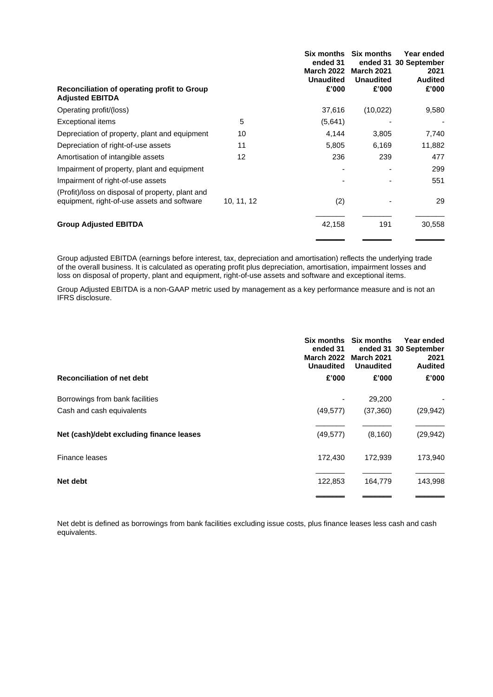| <b>March 2022</b><br><b>Unaudited</b> | <b>March 2021</b><br><b>Unaudited</b> | ended 31 30 September<br>2021<br><b>Audited</b> |
|---------------------------------------|---------------------------------------|-------------------------------------------------|
| £'000                                 | £'000                                 | £'000                                           |
| 37,616                                | (10, 022)                             | 9,580                                           |
| (5,641)                               |                                       |                                                 |
| 4,144                                 | 3,805                                 | 7,740                                           |
| 5,805                                 | 6,169                                 | 11,882                                          |
| 236                                   | 239                                   | 477                                             |
|                                       |                                       | 299                                             |
|                                       |                                       | 551                                             |
| (2)                                   |                                       | 29                                              |
| 42,158                                | 191                                   | 30,558                                          |
|                                       | ended 31                              |                                                 |

Group adjusted EBITDA (earnings before interest, tax, depreciation and amortisation) reflects the underlying trade of the overall business. It is calculated as operating profit plus depreciation, amortisation, impairment losses and loss on disposal of property, plant and equipment, right-of-use assets and software and exceptional items.

Group Adjusted EBITDA is a non-GAAP metric used by management as a key performance measure and is not an IFRS disclosure.

| ended 31<br><b>March 2022</b><br><b>Unaudited</b> | <b>Six months</b><br><b>March 2021</b><br><b>Unaudited</b> | Year ended<br>ended 31 30 September<br>2021<br><b>Audited</b> |
|---------------------------------------------------|------------------------------------------------------------|---------------------------------------------------------------|
| £'000                                             | £'000                                                      | £'000                                                         |
|                                                   | 29,200                                                     |                                                               |
| (49, 577)                                         | (37, 360)                                                  | (29, 942)                                                     |
| (49, 577)                                         | (8, 160)                                                   | (29, 942)                                                     |
| 172,430                                           | 172,939                                                    | 173,940                                                       |
| 122,853                                           | 164,779                                                    | 143,998                                                       |
|                                                   |                                                            | Six months                                                    |

Net debt is defined as borrowings from bank facilities excluding issue costs, plus finance leases less cash and cash equivalents.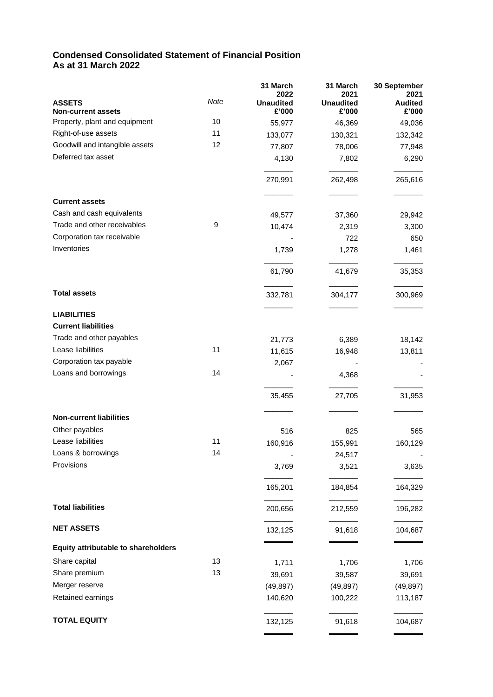# **Condensed Consolidated Statement of Financial Position As at 31 March 2022**

|                                     |      | 31 March                 | 31 March                 | 30 September           |
|-------------------------------------|------|--------------------------|--------------------------|------------------------|
| <b>ASSETS</b>                       | Note | 2022<br><b>Unaudited</b> | 2021<br><b>Unaudited</b> | 2021<br><b>Audited</b> |
| <b>Non-current assets</b>           |      | £'000                    | £'000                    | £'000                  |
| Property, plant and equipment       | 10   | 55,977                   | 46,369                   | 49,036                 |
| Right-of-use assets                 | 11   | 133,077                  | 130,321                  | 132,342                |
| Goodwill and intangible assets      | 12   | 77,807                   | 78,006                   | 77,948                 |
| Deferred tax asset                  |      | 4,130                    | 7,802                    | 6,290                  |
|                                     |      | 270,991                  | 262,498                  | 265,616                |
| <b>Current assets</b>               |      |                          |                          |                        |
| Cash and cash equivalents           |      | 49,577                   | 37,360                   | 29,942                 |
| Trade and other receivables         | 9    | 10,474                   | 2,319                    | 3,300                  |
| Corporation tax receivable          |      |                          | 722                      | 650                    |
| Inventories                         |      | 1,739                    | 1,278                    | 1,461                  |
|                                     |      | 61,790                   | 41,679                   | 35,353                 |
| <b>Total assets</b>                 |      | 332,781                  | 304,177                  | 300,969                |
| <b>LIABILITIES</b>                  |      |                          |                          |                        |
| <b>Current liabilities</b>          |      |                          |                          |                        |
| Trade and other payables            |      |                          |                          |                        |
| Lease liabilities                   | 11   | 21,773                   | 6,389                    | 18,142                 |
|                                     |      | 11,615                   | 16,948                   | 13,811                 |
| Corporation tax payable             |      | 2,067                    |                          |                        |
| Loans and borrowings                | 14   |                          | 4,368                    |                        |
|                                     |      | 35,455                   | 27,705                   | 31,953                 |
| <b>Non-current liabilities</b>      |      |                          |                          |                        |
| Other payables                      |      | 516                      | 825                      | 565                    |
| Lease liabilities                   | 11   | 160,916                  | 155,991                  | 160,129                |
| Loans & borrowings                  | 14   |                          | 24,517                   |                        |
| Provisions                          |      | 3,769                    | 3,521                    | 3,635                  |
|                                     |      | 165,201                  | 184,854                  | 164,329                |
| <b>Total liabilities</b>            |      | 200,656                  | 212,559                  | 196,282                |
| <b>NET ASSETS</b>                   |      | 132,125                  | 91,618                   | 104,687                |
| Equity attributable to shareholders |      |                          |                          |                        |
| Share capital                       | 13   | 1,711                    | 1,706                    | 1,706                  |
| Share premium                       | 13   | 39,691                   | 39,587                   | 39,691                 |
| Merger reserve                      |      | (49, 897)                | (49, 897)                | (49, 897)              |
| Retained earnings                   |      | 140,620                  | 100,222                  | 113,187                |
| <b>TOTAL EQUITY</b>                 |      | 132,125                  | 91,618                   | 104,687                |
|                                     |      |                          |                          |                        |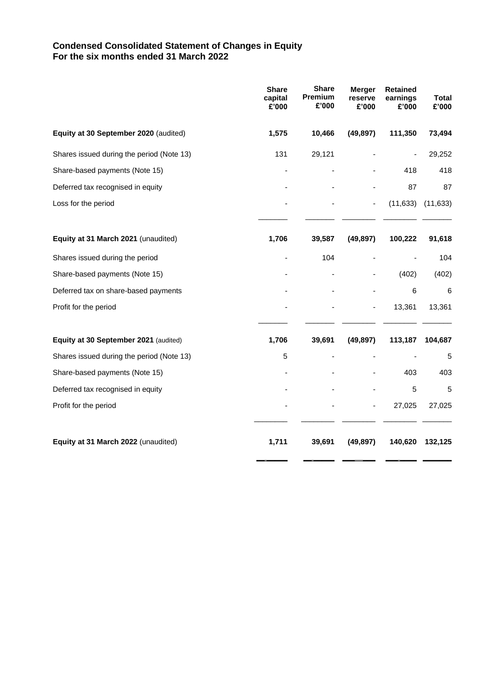# **Condensed Consolidated Statement of Changes in Equity For the six months ended 31 March 2022**

|                                           | <b>Share</b><br>capital<br>E'000 | <b>Share</b><br>Premium<br>£'000 | <b>Merger</b><br>reserve<br>£'000 | <b>Retained</b><br>earnings<br>£'000 | <b>Total</b><br>£'000 |
|-------------------------------------------|----------------------------------|----------------------------------|-----------------------------------|--------------------------------------|-----------------------|
| Equity at 30 September 2020 (audited)     | 1,575                            | 10,466                           | (49, 897)                         | 111,350                              | 73,494                |
| Shares issued during the period (Note 13) | 131                              | 29,121                           |                                   |                                      | 29,252                |
| Share-based payments (Note 15)            |                                  |                                  |                                   | 418                                  | 418                   |
| Deferred tax recognised in equity         |                                  |                                  |                                   | 87                                   | 87                    |
| Loss for the period                       |                                  |                                  |                                   | (11, 633)                            | (11, 633)             |
| Equity at 31 March 2021 (unaudited)       | 1,706                            | 39,587                           | (49, 897)                         | 100,222                              | 91,618                |
| Shares issued during the period           |                                  | 104                              |                                   |                                      | 104                   |
| Share-based payments (Note 15)            |                                  |                                  |                                   | (402)                                | (402)                 |
| Deferred tax on share-based payments      |                                  |                                  |                                   | 6                                    | 6                     |
| Profit for the period                     |                                  |                                  |                                   | 13,361                               | 13,361                |
| Equity at 30 September 2021 (audited)     | 1,706                            | 39,691                           | (49, 897)                         | 113,187                              | 104,687               |
| Shares issued during the period (Note 13) | 5                                |                                  |                                   |                                      | 5                     |
| Share-based payments (Note 15)            |                                  |                                  |                                   | 403                                  | 403                   |
| Deferred tax recognised in equity         |                                  |                                  |                                   | 5                                    | 5                     |
| Profit for the period                     |                                  |                                  |                                   | 27,025                               | 27,025                |
| Equity at 31 March 2022 (unaudited)       | 1,711                            | 39,691                           | (49, 897)                         | 140,620                              | 132,125               |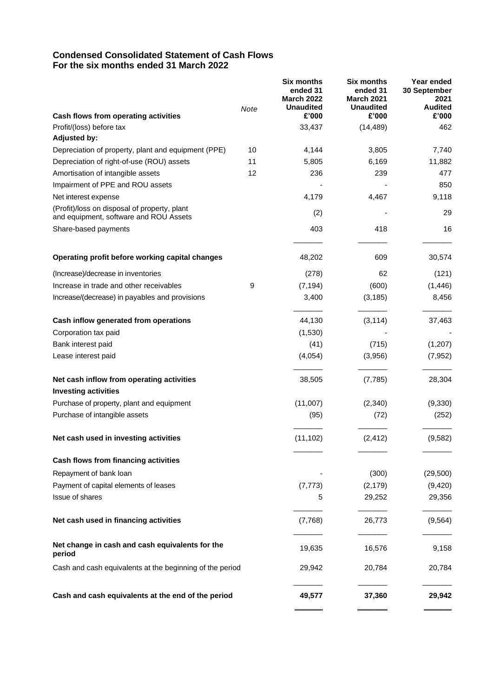# **Condensed Consolidated Statement of Cash Flows For the six months ended 31 March 2022**

|                                                                                        | Note | <b>Six months</b><br>ended 31<br><b>March 2022</b><br><b>Unaudited</b> | <b>Six months</b><br>ended 31<br><b>March 2021</b><br><b>Unaudited</b> | Year ended<br>30 September<br>2021<br><b>Audited</b> |
|----------------------------------------------------------------------------------------|------|------------------------------------------------------------------------|------------------------------------------------------------------------|------------------------------------------------------|
| Cash flows from operating activities                                                   |      | £'000                                                                  | £'000                                                                  | £'000                                                |
| Profit/(loss) before tax                                                               |      | 33,437                                                                 | (14, 489)                                                              | 462                                                  |
| <b>Adjusted by:</b>                                                                    |      |                                                                        |                                                                        |                                                      |
| Depreciation of property, plant and equipment (PPE)                                    | 10   | 4,144                                                                  | 3,805                                                                  | 7,740                                                |
| Depreciation of right-of-use (ROU) assets                                              | 11   | 5,805                                                                  | 6,169                                                                  | 11,882                                               |
| Amortisation of intangible assets                                                      | 12   | 236                                                                    | 239                                                                    | 477                                                  |
| Impairment of PPE and ROU assets                                                       |      |                                                                        |                                                                        | 850                                                  |
| Net interest expense                                                                   |      | 4,179                                                                  | 4,467                                                                  | 9,118                                                |
| (Profit)/loss on disposal of property, plant<br>and equipment, software and ROU Assets |      | (2)                                                                    |                                                                        | 29                                                   |
| Share-based payments                                                                   |      | 403                                                                    | 418                                                                    | 16                                                   |
| Operating profit before working capital changes                                        |      | 48,202                                                                 | 609                                                                    | 30,574                                               |
| (Increase)/decrease in inventories                                                     |      | (278)                                                                  | 62                                                                     | (121)                                                |
| Increase in trade and other receivables                                                | 9    | (7, 194)                                                               | (600)                                                                  | (1, 446)                                             |
| Increase/(decrease) in payables and provisions                                         |      | 3,400                                                                  | (3, 185)                                                               | 8,456                                                |
| Cash inflow generated from operations                                                  |      | 44,130                                                                 | (3, 114)                                                               | 37,463                                               |
| Corporation tax paid                                                                   |      | (1,530)                                                                |                                                                        |                                                      |
| Bank interest paid                                                                     |      | (41)                                                                   | (715)                                                                  | (1,207)                                              |
| Lease interest paid                                                                    |      | (4,054)                                                                | (3,956)                                                                | (7, 952)                                             |
| Net cash inflow from operating activities                                              |      | 38,505                                                                 | (7, 785)                                                               | 28,304                                               |
| <b>Investing activities</b>                                                            |      |                                                                        |                                                                        |                                                      |
| Purchase of property, plant and equipment                                              |      | (11,007)                                                               | (2,340)                                                                | (9,330)                                              |
| Purchase of intangible assets                                                          |      | (95)                                                                   | (72)                                                                   | (252)                                                |
| Net cash used in investing activities                                                  |      | (11, 102)                                                              | (2, 412)                                                               | (9,582)                                              |
| Cash flows from financing activities                                                   |      |                                                                        |                                                                        |                                                      |
| Repayment of bank loan                                                                 |      |                                                                        | (300)                                                                  | (29, 500)                                            |
| Payment of capital elements of leases                                                  |      | (7, 773)                                                               | (2, 179)                                                               | (9,420)                                              |
| Issue of shares                                                                        |      | 5                                                                      | 29,252                                                                 | 29,356                                               |
| Net cash used in financing activities                                                  |      | (7,768)                                                                | 26,773                                                                 | (9, 564)                                             |
| Net change in cash and cash equivalents for the<br>period                              |      | 19,635                                                                 | 16,576                                                                 | 9,158                                                |
| Cash and cash equivalents at the beginning of the period                               |      | 29,942                                                                 | 20,784                                                                 | 20,784                                               |
| Cash and cash equivalents at the end of the period                                     |      | 49,577                                                                 | 37,360                                                                 | 29,942                                               |
|                                                                                        |      |                                                                        |                                                                        |                                                      |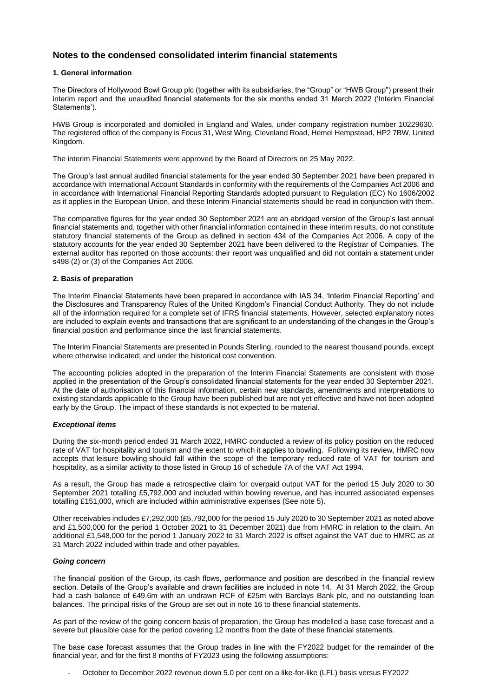# **Notes to the condensed consolidated interim financial statements**

### **1. General information**

The Directors of Hollywood Bowl Group plc (together with its subsidiaries, the "Group" or "HWB Group") present their interim report and the unaudited financial statements for the six months ended 31 March 2022 ('Interim Financial Statements').

HWB Group is incorporated and domiciled in England and Wales, under company registration number 10229630. The registered office of the company is Focus 31, West Wing, Cleveland Road, Hemel Hempstead, HP2 7BW, United Kingdom.

The interim Financial Statements were approved by the Board of Directors on 25 May 2022.

The Group's last annual audited financial statements for the year ended 30 September 2021 have been prepared in accordance with International Account Standards in conformity with the requirements of the Companies Act 2006 and in accordance with International Financial Reporting Standards adopted pursuant to Regulation (EC) No 1606/2002 as it applies in the European Union, and these Interim Financial statements should be read in conjunction with them.

The comparative figures for the year ended 30 September 2021 are an abridged version of the Group's last annual financial statements and, together with other financial information contained in these interim results, do not constitute statutory financial statements of the Group as defined in section 434 of the Companies Act 2006. A copy of the statutory accounts for the year ended 30 September 2021 have been delivered to the Registrar of Companies. The external auditor has reported on those accounts: their report was unqualified and did not contain a statement under s498 (2) or (3) of the Companies Act 2006.

### **2. Basis of preparation**

The Interim Financial Statements have been prepared in accordance with IAS 34, 'Interim Financial Reporting' and the Disclosures and Transparency Rules of the United Kingdom's Financial Conduct Authority. They do not include all of the information required for a complete set of IFRS financial statements. However, selected explanatory notes are included to explain events and transactions that are significant to an understanding of the changes in the Group's financial position and performance since the last financial statements.

The Interim Financial Statements are presented in Pounds Sterling, rounded to the nearest thousand pounds, except where otherwise indicated; and under the historical cost convention.

The accounting policies adopted in the preparation of the Interim Financial Statements are consistent with those applied in the presentation of the Group's consolidated financial statements for the year ended 30 September 2021. At the date of authorisation of this financial information, certain new standards, amendments and interpretations to existing standards applicable to the Group have been published but are not yet effective and have not been adopted early by the Group. The impact of these standards is not expected to be material.

### *Exceptional items*

During the six-month period ended 31 March 2022, HMRC conducted a review of its policy position on the reduced rate of VAT for hospitality and tourism and the extent to which it applies to bowling. Following its review, HMRC now accepts that leisure bowling should fall within the scope of the temporary reduced rate of VAT for tourism and hospitality, as a similar activity to those listed in Group 16 of schedule 7A of the VAT Act 1994.

As a result, the Group has made a retrospective claim for overpaid output VAT for the period 15 July 2020 to 30 September 2021 totalling £5,792,000 and included within bowling revenue, and has incurred associated expenses totalling £151,000, which are included within administrative expenses (See note 5).

Other receivables includes £7,292,000 (£5,792,000 for the period 15 July 2020 to 30 September 2021 as noted above and £1,500,000 for the period 1 October 2021 to 31 December 2021) due from HMRC in relation to the claim. An additional £1,548,000 for the period 1 January 2022 to 31 March 2022 is offset against the VAT due to HMRC as at 31 March 2022 included within trade and other payables.

### *Going concern*

The financial position of the Group, its cash flows, performance and position are described in the financial review section. Details of the Group's available and drawn facilities are included in note 14. At 31 March 2022, the Group had a cash balance of £49.6m with an undrawn RCF of £25m with Barclays Bank plc, and no outstanding loan balances. The principal risks of the Group are set out in note 16 to these financial statements.

As part of the review of the going concern basis of preparation, the Group has modelled a base case forecast and a severe but plausible case for the period covering 12 months from the date of these financial statements.

The base case forecast assumes that the Group trades in line with the FY2022 budget for the remainder of the financial year, and for the first 8 months of FY2023 using the following assumptions:

- October to December 2022 revenue down 5.0 per cent on a like-for-like (LFL) basis versus FY2022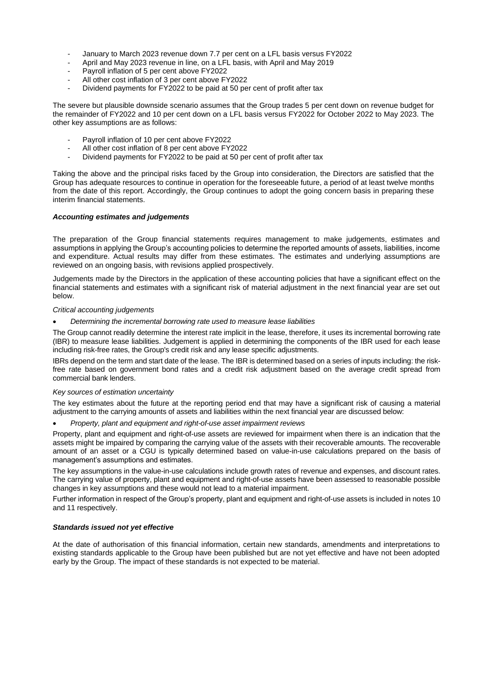- January to March 2023 revenue down 7.7 per cent on a LFL basis versus FY2022
- April and May 2023 revenue in line, on a LFL basis, with April and May 2019
- Payroll inflation of 5 per cent above FY2022
- All other cost inflation of 3 per cent above FY2022
- Dividend payments for FY2022 to be paid at 50 per cent of profit after tax

The severe but plausible downside scenario assumes that the Group trades 5 per cent down on revenue budget for the remainder of FY2022 and 10 per cent down on a LFL basis versus FY2022 for October 2022 to May 2023. The other key assumptions are as follows:

- Payroll inflation of 10 per cent above FY2022
- All other cost inflation of 8 per cent above FY2022
- Dividend payments for FY2022 to be paid at 50 per cent of profit after tax

Taking the above and the principal risks faced by the Group into consideration, the Directors are satisfied that the Group has adequate resources to continue in operation for the foreseeable future, a period of at least twelve months from the date of this report. Accordingly, the Group continues to adopt the going concern basis in preparing these interim financial statements.

### *Accounting estimates and judgements*

The preparation of the Group financial statements requires management to make judgements, estimates and assumptions in applying the Group's accounting policies to determine the reported amounts of assets, liabilities, income and expenditure. Actual results may differ from these estimates. The estimates and underlying assumptions are reviewed on an ongoing basis, with revisions applied prospectively.

Judgements made by the Directors in the application of these accounting policies that have a significant effect on the financial statements and estimates with a significant risk of material adjustment in the next financial year are set out below.

### *Critical accounting judgements*

• *Determining the incremental borrowing rate used to measure lease liabilities*

The Group cannot readily determine the interest rate implicit in the lease, therefore, it uses its incremental borrowing rate (IBR) to measure lease liabilities. Judgement is applied in determining the components of the IBR used for each lease including risk-free rates, the Group's credit risk and any lease specific adjustments.

IBRs depend on the term and start date of the lease. The IBR is determined based on a series of inputs including: the riskfree rate based on government bond rates and a credit risk adjustment based on the average credit spread from commercial bank lenders.

### *Key sources of estimation uncertainty*

The key estimates about the future at the reporting period end that may have a significant risk of causing a material adjustment to the carrying amounts of assets and liabilities within the next financial year are discussed below:

• *Property, plant and equipment and right-of-use asset impairment reviews*

Property, plant and equipment and right-of-use assets are reviewed for impairment when there is an indication that the assets might be impaired by comparing the carrying value of the assets with their recoverable amounts. The recoverable amount of an asset or a CGU is typically determined based on value-in-use calculations prepared on the basis of management's assumptions and estimates.

The key assumptions in the value-in-use calculations include growth rates of revenue and expenses, and discount rates. The carrying value of property, plant and equipment and right-of-use assets have been assessed to reasonable possible changes in key assumptions and these would not lead to a material impairment.

Further information in respect of the Group's property, plant and equipment and right-of-use assets is included in notes 10 and 11 respectively.

### *Standards issued not yet effective*

At the date of authorisation of this financial information, certain new standards, amendments and interpretations to existing standards applicable to the Group have been published but are not yet effective and have not been adopted early by the Group. The impact of these standards is not expected to be material.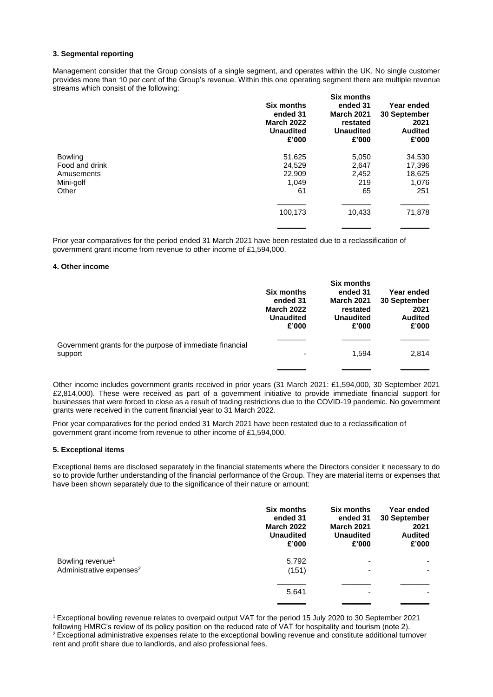### **3. Segmental reporting**

Management consider that the Group consists of a single segment, and operates within the UK. No single customer provides more than 10 per cent of the Group's revenue. Within this one operating segment there are multiple revenue streams which consist of the following:

|                | <b>Six months</b><br>ended 31<br><b>March 2022</b><br><b>Unaudited</b><br>£'000 | Six months<br>ended 31<br><b>March 2021</b><br>restated<br><b>Unaudited</b><br>£'000 | Year ended<br>30 September<br>2021<br><b>Audited</b><br>£'000 |
|----------------|---------------------------------------------------------------------------------|--------------------------------------------------------------------------------------|---------------------------------------------------------------|
| Bowling        | 51,625                                                                          | 5,050                                                                                | 34,530                                                        |
| Food and drink | 24,529                                                                          | 2,647                                                                                | 17,396                                                        |
| Amusements     | 22,909                                                                          | 2,452                                                                                | 18,625                                                        |
| Mini-golf      | 1,049                                                                           | 219                                                                                  | 1,076                                                         |
| Other          | 61                                                                              | 65                                                                                   | 251                                                           |
|                |                                                                                 |                                                                                      |                                                               |
|                | 100,173                                                                         | 10,433                                                                               | 71,878                                                        |
|                |                                                                                 |                                                                                      |                                                               |

Prior year comparatives for the period ended 31 March 2021 have been restated due to a reclassification of government grant income from revenue to other income of £1,594,000.

### **4. Other income**

|                                                                     | <b>Six months</b><br>ended 31<br><b>March 2022</b><br><b>Unaudited</b><br>£'000 | <b>Six months</b><br>ended 31<br><b>March 2021</b><br>restated<br><b>Unaudited</b><br>£'000 | Year ended<br>30 September<br>2021<br><b>Audited</b><br>£'000 |
|---------------------------------------------------------------------|---------------------------------------------------------------------------------|---------------------------------------------------------------------------------------------|---------------------------------------------------------------|
| Government grants for the purpose of immediate financial<br>support | ۰                                                                               | 1.594                                                                                       | 2,814                                                         |
|                                                                     |                                                                                 |                                                                                             |                                                               |

Other income includes government grants received in prior years (31 March 2021: £1,594,000, 30 September 2021 £2,814,000). These were received as part of a government initiative to provide immediate financial support for businesses that were forced to close as a result of trading restrictions due to the COVID-19 pandemic. No government grants were received in the current financial year to 31 March 2022.

Prior year comparatives for the period ended 31 March 2021 have been restated due to a reclassification of government grant income from revenue to other income of £1,594,000.

### **5. Exceptional items**

Exceptional items are disclosed separately in the financial statements where the Directors consider it necessary to do so to provide further understanding of the financial performance of the Group. They are material items or expenses that have been shown separately due to the significance of their nature or amount:

|                                                                      | <b>Six months</b><br>ended 31<br><b>March 2022</b><br><b>Unaudited</b><br>£'000 | <b>Six months</b><br>ended 31<br><b>March 2021</b><br><b>Unaudited</b><br>£'000 | Year ended<br>30 September<br>2021<br><b>Audited</b><br>£'000 |
|----------------------------------------------------------------------|---------------------------------------------------------------------------------|---------------------------------------------------------------------------------|---------------------------------------------------------------|
| Bowling revenue <sup>1</sup><br>Administrative expenses <sup>2</sup> | 5,792<br>(151)                                                                  |                                                                                 |                                                               |
|                                                                      | 5,641                                                                           |                                                                                 |                                                               |
|                                                                      |                                                                                 |                                                                                 |                                                               |

<sup>1</sup>Exceptional bowling revenue relates to overpaid output VAT for the period 15 July 2020 to 30 September 2021 following HMRC's review of its policy position on the reduced rate of VAT for hospitality and tourism (note 2). <sup>2</sup> Exceptional administrative expenses relate to the exceptional bowling revenue and constitute additional turnover rent and profit share due to landlords, and also professional fees.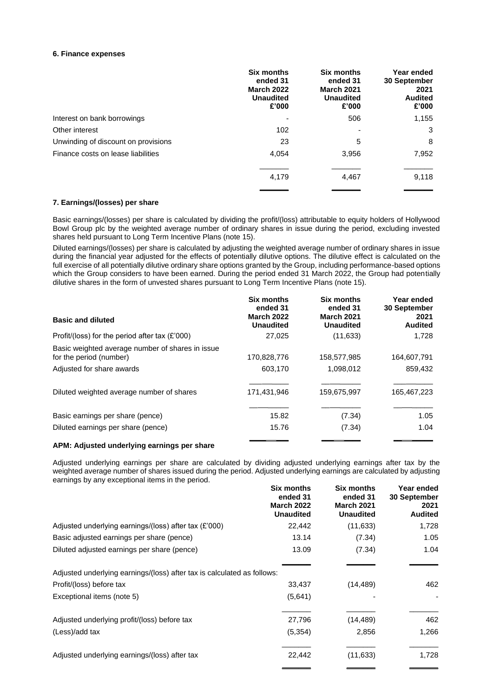### **6. Finance expenses**

|                                     | <b>Six months</b><br>ended 31<br><b>March 2022</b><br><b>Unaudited</b><br>£'000 | <b>Six months</b><br>ended 31<br><b>March 2021</b><br><b>Unaudited</b><br>£'000 | Year ended<br>30 September<br>2021<br><b>Audited</b><br>£'000 |
|-------------------------------------|---------------------------------------------------------------------------------|---------------------------------------------------------------------------------|---------------------------------------------------------------|
| Interest on bank borrowings         |                                                                                 | 506                                                                             | 1,155                                                         |
| Other interest                      | 102                                                                             | -                                                                               | 3                                                             |
| Unwinding of discount on provisions | 23                                                                              | 5                                                                               | 8                                                             |
| Finance costs on lease liabilities  | 4,054                                                                           | 3,956                                                                           | 7,952                                                         |
|                                     | 4,179                                                                           | 4,467                                                                           | 9,118                                                         |

### **7. Earnings/(losses) per share**

Basic earnings/(losses) per share is calculated by dividing the profit/(loss) attributable to equity holders of Hollywood Bowl Group plc by the weighted average number of ordinary shares in issue during the period, excluding invested shares held pursuant to Long Term Incentive Plans (note 15).

Diluted earnings/(losses) per share is calculated by adjusting the weighted average number of ordinary shares in issue during the financial year adjusted for the effects of potentially dilutive options. The dilutive effect is calculated on the full exercise of all potentially dilutive ordinary share options granted by the Group, including performance-based options which the Group considers to have been earned. During the period ended 31 March 2022, the Group had potentially dilutive shares in the form of unvested shares pursuant to Long Term Incentive Plans (note 15).

|                                                                             | <b>Six months</b><br>ended 31         | Six months<br>ended 31                | Year ended<br><b>30 September</b> |
|-----------------------------------------------------------------------------|---------------------------------------|---------------------------------------|-----------------------------------|
| <b>Basic and diluted</b>                                                    | <b>March 2022</b><br><b>Unaudited</b> | <b>March 2021</b><br><b>Unaudited</b> | 2021<br><b>Audited</b>            |
| Profit/(loss) for the period after tax $(E'000)$                            | 27.025                                | (11, 633)                             | 1,728                             |
| Basic weighted average number of shares in issue<br>for the period (number) | 170,828,776                           | 158,577,985                           | 164,607,791                       |
| Adjusted for share awards                                                   | 603,170                               | 1,098,012                             | 859,432                           |
| Diluted weighted average number of shares                                   | 171,431,946                           | 159,675,997                           | 165,467,223                       |
| Basic earnings per share (pence)                                            | 15.82                                 | (7.34)                                | 1.05                              |
| Diluted earnings per share (pence)                                          | 15.76                                 | (7.34)                                | 1.04                              |
|                                                                             |                                       |                                       |                                   |

### **APM: Adjusted underlying earnings per share**

Adjusted underlying earnings per share are calculated by dividing adjusted underlying earnings after tax by the weighted average number of shares issued during the period. Adjusted underlying earnings are calculated by adjusting earnings by any exceptional items in the period.

|                                                                         | <b>Six months</b><br>ended 31<br><b>March 2022</b><br><b>Unaudited</b> | <b>Six months</b><br>ended 31<br><b>March 2021</b><br><b>Unaudited</b> | Year ended<br>30 September<br>2021<br><b>Audited</b> |
|-------------------------------------------------------------------------|------------------------------------------------------------------------|------------------------------------------------------------------------|------------------------------------------------------|
| Adjusted underlying earnings/(loss) after tax (£'000)                   | 22,442                                                                 | (11, 633)                                                              | 1,728                                                |
| Basic adjusted earnings per share (pence)                               | 13.14                                                                  | (7.34)                                                                 | 1.05                                                 |
| Diluted adjusted earnings per share (pence)                             | 13.09                                                                  | (7.34)                                                                 | 1.04                                                 |
| Adjusted underlying earnings/(loss) after tax is calculated as follows: |                                                                        |                                                                        |                                                      |
| Profit/(loss) before tax                                                | 33,437                                                                 | (14, 489)                                                              | 462                                                  |
| Exceptional items (note 5)                                              | (5,641)                                                                |                                                                        |                                                      |
| Adjusted underlying profit/(loss) before tax                            | 27,796                                                                 | (14, 489)                                                              | 462                                                  |
| (Less)/add tax                                                          | (5, 354)                                                               | 2,856                                                                  | 1,266                                                |
| Adjusted underlying earnings/(loss) after tax                           | 22,442                                                                 | (11, 633)                                                              | 1,728                                                |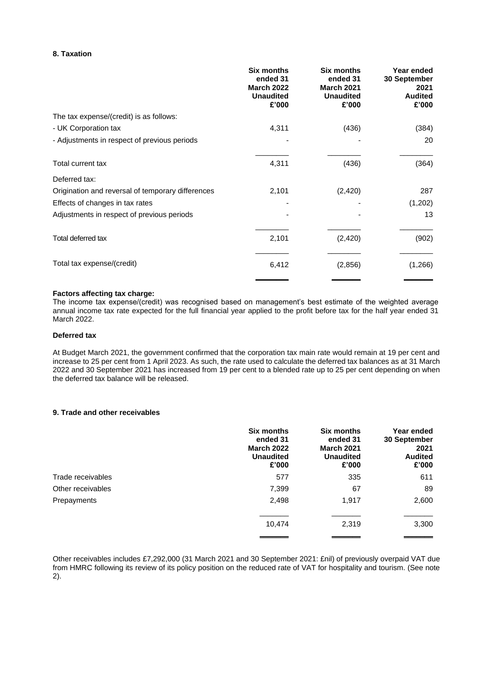### **8. Taxation**

|                                                   | <b>Six months</b><br>ended 31<br><b>March 2022</b><br><b>Unaudited</b><br>£'000 | <b>Six months</b><br>ended 31<br><b>March 2021</b><br><b>Unaudited</b><br>£'000 | Year ended<br>30 September<br>2021<br><b>Audited</b><br>£'000 |
|---------------------------------------------------|---------------------------------------------------------------------------------|---------------------------------------------------------------------------------|---------------------------------------------------------------|
| The tax expense/(credit) is as follows:           |                                                                                 |                                                                                 |                                                               |
| - UK Corporation tax                              | 4,311                                                                           | (436)                                                                           | (384)                                                         |
| - Adjustments in respect of previous periods      |                                                                                 |                                                                                 | 20                                                            |
| Total current tax                                 | 4,311                                                                           | (436)                                                                           | (364)                                                         |
| Deferred tax:                                     |                                                                                 |                                                                                 |                                                               |
| Origination and reversal of temporary differences | 2,101                                                                           | (2, 420)                                                                        | 287                                                           |
| Effects of changes in tax rates                   |                                                                                 |                                                                                 | (1,202)                                                       |
| Adjustments in respect of previous periods        |                                                                                 |                                                                                 | 13                                                            |
| Total deferred tax                                | 2,101                                                                           | (2,420)                                                                         | (902)                                                         |
| Total tax expense/(credit)                        | 6,412                                                                           | (2,856)                                                                         | (1,266)                                                       |
|                                                   |                                                                                 |                                                                                 |                                                               |

### **Factors affecting tax charge:**

The income tax expense/(credit) was recognised based on management's best estimate of the weighted average annual income tax rate expected for the full financial year applied to the profit before tax for the half year ended 31 March 2022.

### **Deferred tax**

At Budget March 2021, the government confirmed that the corporation tax main rate would remain at 19 per cent and increase to 25 per cent from 1 April 2023. As such, the rate used to calculate the deferred tax balances as at 31 March 2022 and 30 September 2021 has increased from 19 per cent to a blended rate up to 25 per cent depending on when the deferred tax balance will be released.

# **9. Trade and other receivables**

|                   | <b>Six months</b><br>ended 31<br><b>March 2022</b><br><b>Unaudited</b><br>£'000 | <b>Six months</b><br>ended 31<br><b>March 2021</b><br><b>Unaudited</b><br>£'000 | Year ended<br>30 September<br>2021<br><b>Audited</b><br>£'000 |
|-------------------|---------------------------------------------------------------------------------|---------------------------------------------------------------------------------|---------------------------------------------------------------|
| Trade receivables | 577                                                                             | 335                                                                             | 611                                                           |
| Other receivables | 7,399                                                                           | 67                                                                              | 89                                                            |
| Prepayments       | 2,498                                                                           | 1,917                                                                           | 2,600                                                         |
|                   | 10,474                                                                          | 2,319                                                                           | 3,300                                                         |
|                   |                                                                                 |                                                                                 |                                                               |

Other receivables includes £7,292,000 (31 March 2021 and 30 September 2021: £nil) of previously overpaid VAT due from HMRC following its review of its policy position on the reduced rate of VAT for hospitality and tourism. (See note 2).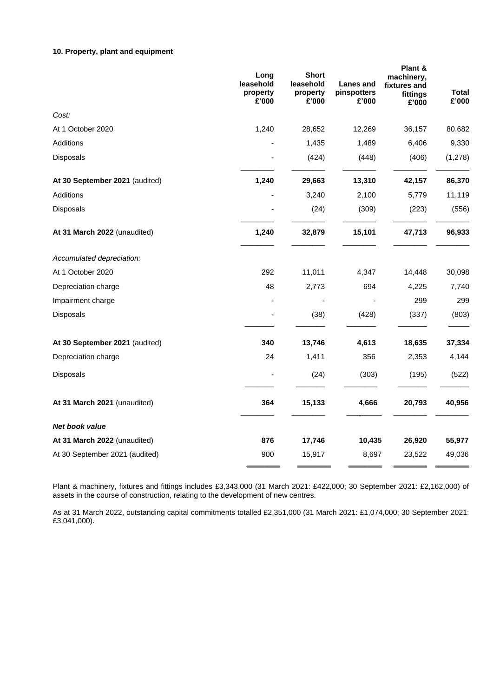# **10. Property, plant and equipment**

|                                | Long<br>leasehold<br>property<br>£'000 | <b>Short</b><br>leasehold<br>property<br>£'000 | Lanes and<br>pinspotters<br>£'000 | Plant &<br>machinery,<br>fixtures and<br>fittings<br>£'000 | Total<br>£'000 |
|--------------------------------|----------------------------------------|------------------------------------------------|-----------------------------------|------------------------------------------------------------|----------------|
| Cost:                          |                                        |                                                |                                   |                                                            |                |
| At 1 October 2020              | 1,240                                  | 28,652                                         | 12,269                            | 36,157                                                     | 80,682         |
| Additions                      |                                        | 1,435                                          | 1,489                             | 6,406                                                      | 9,330          |
| Disposals                      |                                        | (424)                                          | (448)                             | (406)                                                      | (1,278)        |
| At 30 September 2021 (audited) | 1,240                                  | 29,663                                         | 13,310                            | 42,157                                                     | 86,370         |
| Additions                      |                                        | 3,240                                          | 2,100                             | 5,779                                                      | 11,119         |
| <b>Disposals</b>               |                                        | (24)                                           | (309)                             | (223)                                                      | (556)          |
| At 31 March 2022 (unaudited)   | 1,240                                  | 32,879                                         | 15,101                            | 47,713                                                     | 96,933         |
| Accumulated depreciation:      |                                        |                                                |                                   |                                                            |                |
| At 1 October 2020              | 292                                    | 11,011                                         | 4,347                             | 14,448                                                     | 30,098         |
| Depreciation charge            | 48                                     | 2,773                                          | 694                               | 4,225                                                      | 7,740          |
| Impairment charge              |                                        |                                                |                                   | 299                                                        | 299            |
| <b>Disposals</b>               |                                        | (38)                                           | (428)                             | (337)                                                      | (803)          |
| At 30 September 2021 (audited) | 340                                    | 13,746                                         | 4,613                             | 18,635                                                     | 37,334         |
| Depreciation charge            | 24                                     | 1,411                                          | 356                               | 2,353                                                      | 4,144          |
| Disposals                      |                                        | (24)                                           | (303)                             | (195)                                                      | (522)          |
| At 31 March 2021 (unaudited)   | 364                                    | 15,133                                         | 4,666                             | 20,793                                                     | 40,956         |
| Net book value                 |                                        |                                                |                                   |                                                            |                |
| At 31 March 2022 (unaudited)   | 876                                    | 17,746                                         | 10,435                            | 26,920                                                     | 55,977         |
| At 30 September 2021 (audited) | 900                                    | 15,917                                         | 8,697                             | 23,522                                                     | 49,036         |

Plant & machinery, fixtures and fittings includes £3,343,000 (31 March 2021: £422,000; 30 September 2021: £2,162,000) of assets in the course of construction, relating to the development of new centres.

As at 31 March 2022, outstanding capital commitments totalled £2,351,000 (31 March 2021: £1,074,000; 30 September 2021: £3,041,000).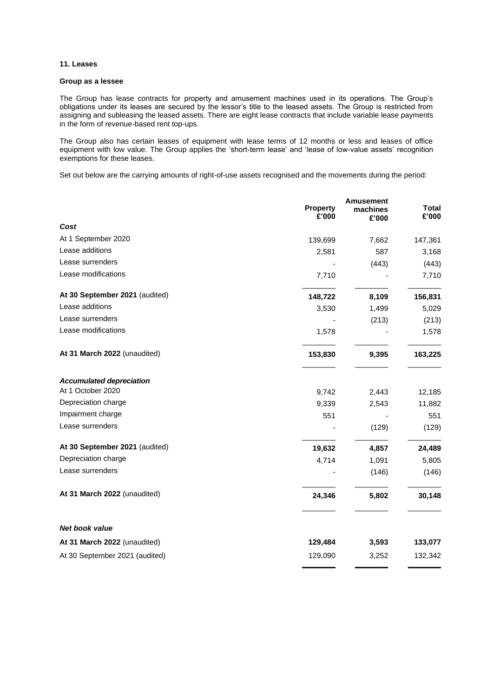### **11. Leases**

### **Group as a lessee**

The Group has lease contracts for property and amusement machines used in its operations. The Group's obligations under its leases are secured by the lessor's title to the leased assets. The Group is restricted from assigning and subleasing the leased assets. There are eight lease contracts that include variable lease payments in the form of revenue-based rent top-ups.

The Group also has certain leases of equipment with lease terms of 12 months or less and leases of office equipment with low value. The Group applies the 'short-term lease' and 'lease of low-value assets' recognition exemptions for these leases.

Set out below are the carrying amounts of right-of-use assets recognised and the movements during the period:

|                                                      | <b>Property</b><br>£'000 | <b>Amusement</b><br>machines<br>£'000 | <b>Total</b><br>£'000 |
|------------------------------------------------------|--------------------------|---------------------------------------|-----------------------|
| Cost                                                 |                          |                                       |                       |
| At 1 September 2020                                  | 139,699                  | 7,662                                 | 147,361               |
| Lease additions                                      | 2,581                    | 587                                   | 3,168                 |
| Lease surrenders                                     |                          | (443)                                 | (443)                 |
| Lease modifications                                  | 7,710                    |                                       | 7,710                 |
| At 30 September 2021 (audited)                       | 148,722                  | 8,109                                 | 156,831               |
| Lease additions                                      | 3,530                    | 1,499                                 | 5,029                 |
| Lease surrenders                                     |                          | (213)                                 | (213)                 |
| Lease modifications                                  | 1,578                    |                                       | 1,578                 |
| At 31 March 2022 (unaudited)                         | 153,830                  | 9,395                                 | 163,225               |
| <b>Accumulated depreciation</b><br>At 1 October 2020 | 9,742                    | 2,443                                 | 12,185                |
| Depreciation charge                                  | 9,339                    | 2,543                                 | 11,882                |
| Impairment charge                                    | 551                      |                                       | 551                   |
| Lease surrenders                                     |                          | (129)                                 | (129)                 |
| At 30 September 2021 (audited)                       | 19,632                   | 4,857                                 | 24,489                |
| Depreciation charge                                  | 4,714                    | 1,091                                 | 5,805                 |
| Lease surrenders                                     |                          | (146)                                 | (146)                 |
| At 31 March 2022 (unaudited)                         | 24,346                   | 5,802                                 | 30,148                |
| Net book value                                       |                          |                                       |                       |
| At 31 March 2022 (unaudited)                         | 129,484                  | 3,593                                 | 133,077               |
| At 30 September 2021 (audited)                       | 129,090                  | 3,252                                 | 132,342               |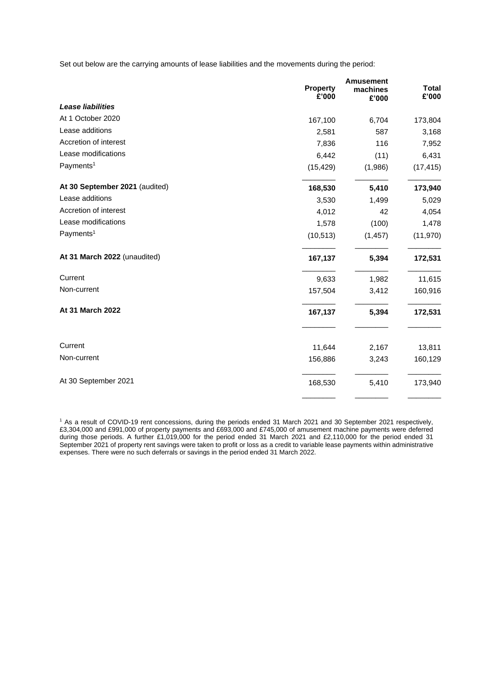Set out below are the carrying amounts of lease liabilities and the movements during the period:

|                                | <b>Property</b><br>£'000 | <b>Amusement</b><br>machines<br>£'000 | <b>Total</b><br>£'000 |
|--------------------------------|--------------------------|---------------------------------------|-----------------------|
| Lease liabilities              |                          |                                       |                       |
| At 1 October 2020              | 167,100                  | 6,704                                 | 173,804               |
| Lease additions                | 2,581                    | 587                                   | 3,168                 |
| Accretion of interest          | 7,836                    | 116                                   | 7,952                 |
| Lease modifications            | 6,442                    | (11)                                  | 6,431                 |
| Payments <sup>1</sup>          | (15, 429)                | (1,986)                               | (17, 415)             |
| At 30 September 2021 (audited) | 168,530                  | 5,410                                 | 173,940               |
| Lease additions                | 3,530                    | 1,499                                 | 5,029                 |
| Accretion of interest          | 4,012                    | 42                                    | 4,054                 |
| Lease modifications            | 1,578                    | (100)                                 | 1,478                 |
| Payments <sup>1</sup>          | (10, 513)                | (1, 457)                              | (11, 970)             |
| At 31 March 2022 (unaudited)   | 167,137                  | 5,394                                 | 172,531               |
| Current                        | 9,633                    | 1,982                                 | 11,615                |
| Non-current                    | 157,504                  | 3,412                                 | 160,916               |
| At 31 March 2022               | 167,137                  | 5,394                                 | 172,531               |
| Current                        | 11,644                   | 2,167                                 | 13,811                |
| Non-current                    | 156,886                  | 3,243                                 | 160,129               |
| At 30 September 2021           | 168,530                  | 5,410                                 | 173,940               |

<sup>1</sup> As a result of COVID-19 rent concessions, during the periods ended 31 March 2021 and 30 September 2021 respectively, £3,304,000 and £991,000 of property payments and £693,000 and £745,000 of amusement machine payments were deferred during those periods. A further £1,019,000 for the period ended 31 March 2021 and £2,110,000 for the period ended 31 September 2021 of property rent savings were taken to profit or loss as a credit to variable lease payments within administrative expenses. There were no such deferrals or savings in the period ended 31 March 2022.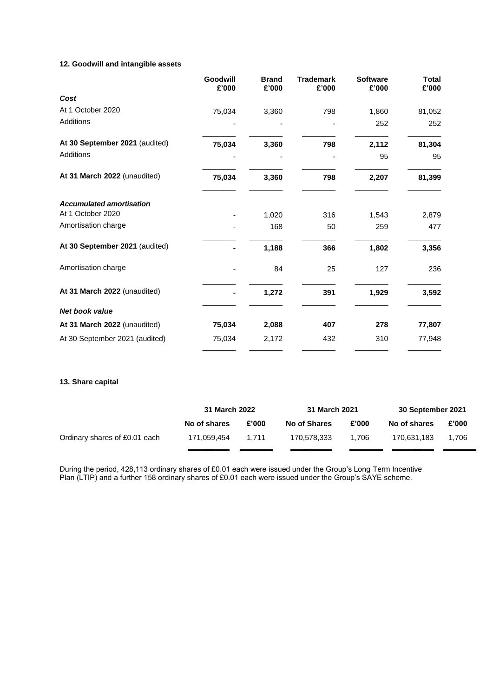# **12. Goodwill and intangible assets**

|                                 | Goodwill<br>£'000 | <b>Brand</b><br>£'000 | <b>Trademark</b><br>£'000 | <b>Software</b><br>£'000 | <b>Total</b><br>£'000 |
|---------------------------------|-------------------|-----------------------|---------------------------|--------------------------|-----------------------|
| Cost                            |                   |                       |                           |                          |                       |
| At 1 October 2020               | 75,034            | 3,360                 | 798                       | 1,860                    | 81,052                |
| Additions                       |                   |                       |                           | 252                      | 252                   |
| At 30 September 2021 (audited)  | 75,034            | 3,360                 | 798                       | 2,112                    | 81,304                |
| Additions                       |                   |                       |                           | 95                       | 95                    |
| At 31 March 2022 (unaudited)    | 75,034            | 3,360                 | 798                       | 2,207                    | 81,399                |
| <b>Accumulated amortisation</b> |                   |                       |                           |                          |                       |
| At 1 October 2020               |                   | 1,020                 | 316                       | 1,543                    | 2,879                 |
| Amortisation charge             |                   | 168                   | 50                        | 259                      | 477                   |
| At 30 September 2021 (audited)  |                   | 1,188                 | 366                       | 1,802                    | 3,356                 |
| Amortisation charge             |                   | 84                    | 25                        | 127                      | 236                   |
| At 31 March 2022 (unaudited)    |                   | 1,272                 | 391                       | 1,929                    | 3,592                 |
| <b>Net book value</b>           |                   |                       |                           |                          |                       |
| At 31 March 2022 (unaudited)    | 75,034            | 2,088                 | 407                       | 278                      | 77,807                |
| At 30 September 2021 (audited)  | 75,034            | 2,172                 | 432                       | 310                      | 77,948                |

# **13. Share capital**

|                               | 31 March 2022 |       | 31 March 2021 |       | 30 September 2021 |       |
|-------------------------------|---------------|-------|---------------|-------|-------------------|-------|
|                               | No of shares  | £'000 | No of Shares  | £'000 | No of shares      | £'000 |
| Ordinary shares of £0.01 each | 171,059,454   | 1.711 | 170.578.333   | 1.706 | 170.631.183       | 1.706 |
|                               |               |       |               |       |                   |       |

During the period, 428,113 ordinary shares of £0.01 each were issued under the Group's Long Term Incentive Plan (LTIP) and a further 158 ordinary shares of £0.01 each were issued under the Group's SAYE scheme.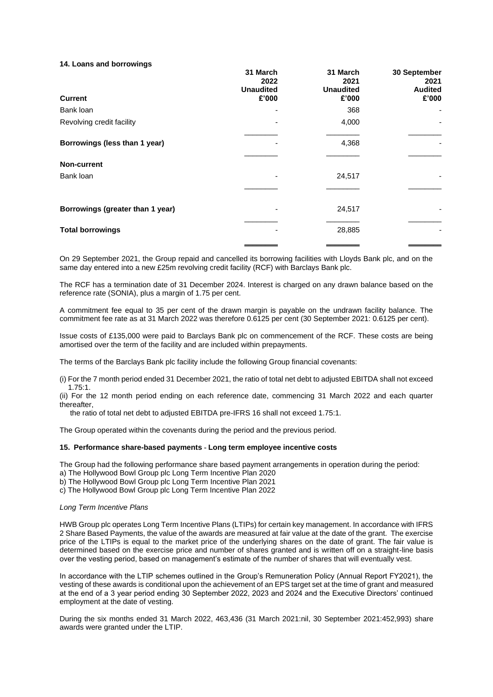#### **14. Loans and borrowings**

|                                  | 31 March<br>2022<br><b>Unaudited</b> | 31 March<br>2021<br><b>Unaudited</b> | 30 September<br>2021<br><b>Audited</b> |
|----------------------------------|--------------------------------------|--------------------------------------|----------------------------------------|
| <b>Current</b>                   | £'000                                | £'000                                | £'000                                  |
| Bank loan                        | -                                    | 368                                  | ٠                                      |
| Revolving credit facility        |                                      | 4,000                                | ۰                                      |
| Borrowings (less than 1 year)    |                                      | 4,368                                |                                        |
| <b>Non-current</b>               |                                      |                                      |                                        |
| Bank loan                        |                                      | 24,517                               |                                        |
|                                  |                                      |                                      |                                        |
| Borrowings (greater than 1 year) | ۰                                    | 24,517                               |                                        |
| <b>Total borrowings</b>          |                                      | 28,885                               |                                        |
|                                  |                                      |                                      |                                        |

On 29 September 2021, the Group repaid and cancelled its borrowing facilities with Lloyds Bank plc, and on the same day entered into a new £25m revolving credit facility (RCF) with Barclays Bank plc.

The RCF has a termination date of 31 December 2024. Interest is charged on any drawn balance based on the reference rate (SONIA), plus a margin of 1.75 per cent.

A commitment fee equal to 35 per cent of the drawn margin is payable on the undrawn facility balance. The commitment fee rate as at 31 March 2022 was therefore 0.6125 per cent (30 September 2021: 0.6125 per cent).

Issue costs of £135,000 were paid to Barclays Bank plc on commencement of the RCF. These costs are being amortised over the term of the facility and are included within prepayments.

The terms of the Barclays Bank plc facility include the following Group financial covenants:

(i) For the 7 month period ended 31 December 2021, the ratio of total net debt to adjusted EBITDA shall not exceed 1.75:1.

(ii) For the 12 month period ending on each reference date, commencing 31 March 2022 and each quarter thereafter,

the ratio of total net debt to adjusted EBITDA pre-IFRS 16 shall not exceed 1.75:1.

The Group operated within the covenants during the period and the previous period.

#### **15. Performance share-based payments - Long term employee incentive costs**

The Group had the following performance share based payment arrangements in operation during the period:

a) The Hollywood Bowl Group plc Long Term Incentive Plan 2020

b) The Hollywood Bowl Group plc Long Term Incentive Plan 2021

c) The Hollywood Bowl Group plc Long Term Incentive Plan 2022

#### *Long Term Incentive Plans*

HWB Group plc operates Long Term Incentive Plans (LTIPs) for certain key management. In accordance with IFRS 2 Share Based Payments, the value of the awards are measured at fair value at the date of the grant. The exercise price of the LTIPs is equal to the market price of the underlying shares on the date of grant. The fair value is determined based on the exercise price and number of shares granted and is written off on a straight-line basis over the vesting period, based on management's estimate of the number of shares that will eventually vest.

In accordance with the LTIP schemes outlined in the Group's Remuneration Policy (Annual Report FY2021), the vesting of these awards is conditional upon the achievement of an EPS target set at the time of grant and measured at the end of a 3 year period ending 30 September 2022, 2023 and 2024 and the Executive Directors' continued employment at the date of vesting.

During the six months ended 31 March 2022, 463,436 (31 March 2021:nil, 30 September 2021:452,993) share awards were granted under the LTIP.